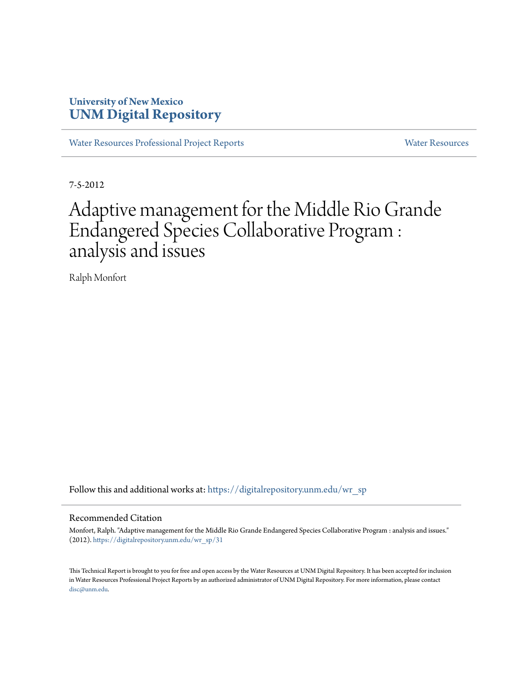### **University of New Mexico [UNM Digital Repository](https://digitalrepository.unm.edu?utm_source=digitalrepository.unm.edu%2Fwr_sp%2F31&utm_medium=PDF&utm_campaign=PDFCoverPages)**

[Water Resources Professional Project Reports](https://digitalrepository.unm.edu/wr_sp?utm_source=digitalrepository.unm.edu%2Fwr_sp%2F31&utm_medium=PDF&utm_campaign=PDFCoverPages) **[Water Resources](https://digitalrepository.unm.edu/wr?utm_source=digitalrepository.unm.edu%2Fwr_sp%2F31&utm_medium=PDF&utm_campaign=PDFCoverPages)** Water Resources

7-5-2012

# Adaptive management for the Middle Rio Grande Endangered Species Collaborative Program : analysis and issues

Ralph Monfort

Follow this and additional works at: [https://digitalrepository.unm.edu/wr\\_sp](https://digitalrepository.unm.edu/wr_sp?utm_source=digitalrepository.unm.edu%2Fwr_sp%2F31&utm_medium=PDF&utm_campaign=PDFCoverPages)

#### Recommended Citation

Monfort, Ralph. "Adaptive management for the Middle Rio Grande Endangered Species Collaborative Program : analysis and issues." (2012). [https://digitalrepository.unm.edu/wr\\_sp/31](https://digitalrepository.unm.edu/wr_sp/31?utm_source=digitalrepository.unm.edu%2Fwr_sp%2F31&utm_medium=PDF&utm_campaign=PDFCoverPages)

This Technical Report is brought to you for free and open access by the Water Resources at UNM Digital Repository. It has been accepted for inclusion in Water Resources Professional Project Reports by an authorized administrator of UNM Digital Repository. For more information, please contact [disc@unm.edu](mailto:disc@unm.edu).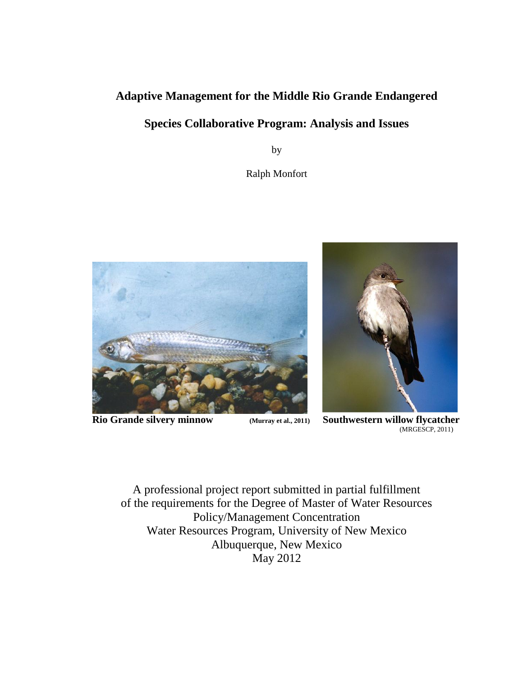### **Adaptive Management for the Middle Rio Grande Endangered**

### **Species Collaborative Program: Analysis and Issues**

by

Ralph Monfort



 $\begin{array}{c} \hline \end{array}$ 



**Rio Grande silvery minnow (Murray et al., 2011) Southwestern willow flycatcher** (MRGESCP, 2011)

A professional project report submitted in partial fulfillment of the requirements for the Degree of Master of Water Resources Policy/Management Concentration Water Resources Program, University of New Mexico Albuquerque, New Mexico May 2012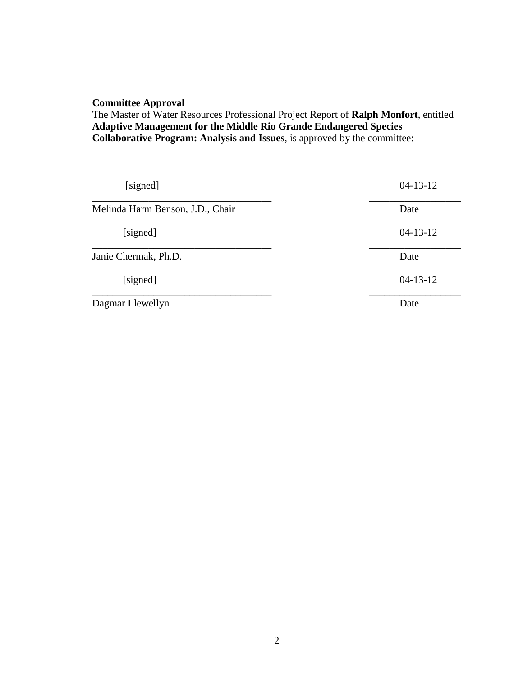#### **Committee Approval**

The Master of Water Resources Professional Project Report of **Ralph Monfort**, entitled **Adaptive Management for the Middle Rio Grande Endangered Species Collaborative Program: Analysis and Issues**, is approved by the committee:

| [signed]                         | $04 - 13 - 12$ |
|----------------------------------|----------------|
| Melinda Harm Benson, J.D., Chair | Date           |
| [signed]                         | $04-13-12$     |
| Janie Chermak, Ph.D.             | Date           |
| [signed]                         | $04 - 13 - 12$ |
| Dagmar Llewellyn                 | Date           |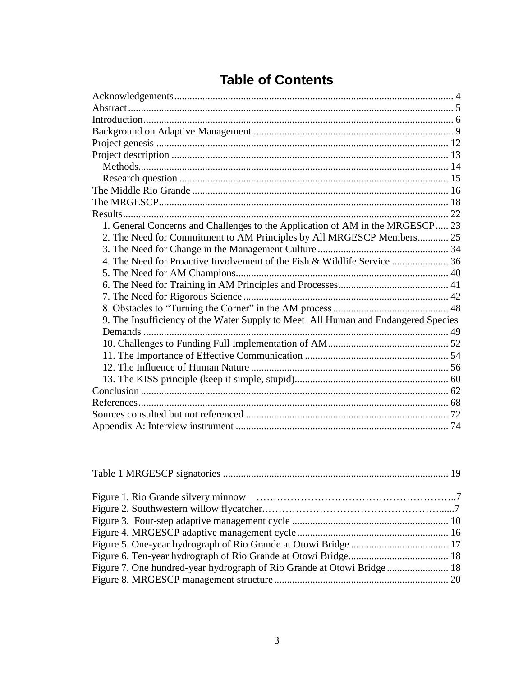| 1. General Concerns and Challenges to the Application of AM in the MRGESCP 23     |  |  |
|-----------------------------------------------------------------------------------|--|--|
| 2. The Need for Commitment to AM Principles by All MRGESCP Members 25             |  |  |
|                                                                                   |  |  |
| 4. The Need for Proactive Involvement of the Fish & Wildlife Service  36          |  |  |
|                                                                                   |  |  |
|                                                                                   |  |  |
|                                                                                   |  |  |
|                                                                                   |  |  |
| 9. The Insufficiency of the Water Supply to Meet All Human and Endangered Species |  |  |
|                                                                                   |  |  |
|                                                                                   |  |  |
|                                                                                   |  |  |
|                                                                                   |  |  |
|                                                                                   |  |  |
|                                                                                   |  |  |
|                                                                                   |  |  |
|                                                                                   |  |  |
|                                                                                   |  |  |

## **Table of Contents**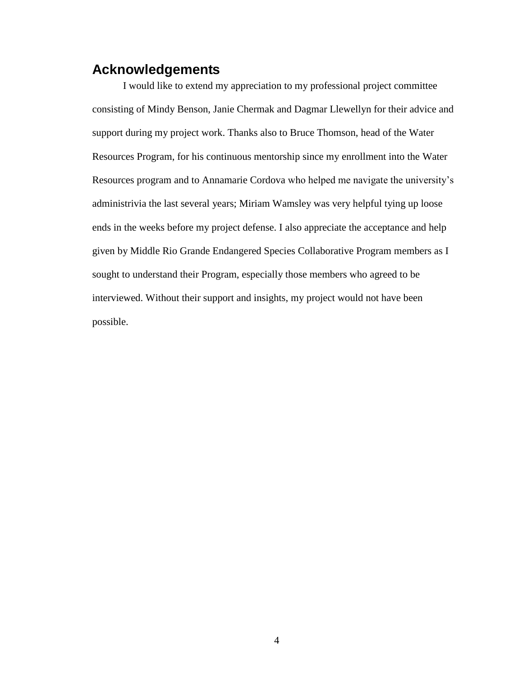### <span id="page-4-0"></span>**Acknowledgements**

I would like to extend my appreciation to my professional project committee consisting of Mindy Benson, Janie Chermak and Dagmar Llewellyn for their advice and support during my project work. Thanks also to Bruce Thomson, head of the Water Resources Program, for his continuous mentorship since my enrollment into the Water Resources program and to Annamarie Cordova who helped me navigate the university's administrivia the last several years; Miriam Wamsley was very helpful tying up loose ends in the weeks before my project defense. I also appreciate the acceptance and help given by Middle Rio Grande Endangered Species Collaborative Program members as I sought to understand their Program, especially those members who agreed to be interviewed. Without their support and insights, my project would not have been possible.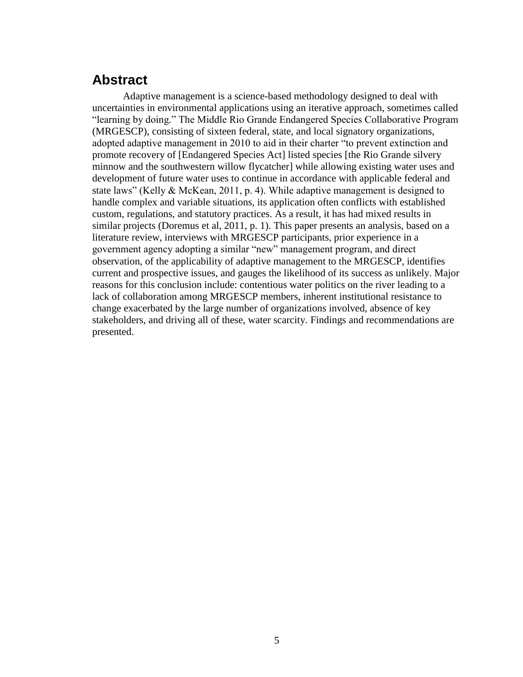### <span id="page-5-0"></span>**Abstract**

Adaptive management is a science-based methodology designed to deal with uncertainties in environmental applications using an iterative approach, sometimes called "learning by doing." The Middle Rio Grande Endangered Species Collaborative Program (MRGESCP), consisting of sixteen federal, state, and local signatory organizations, adopted adaptive management in 2010 to aid in their charter "to prevent extinction and promote recovery of [Endangered Species Act] listed species [the Rio Grande silvery minnow and the southwestern willow flycatcher] while allowing existing water uses and development of future water uses to continue in accordance with applicable federal and state laws" (Kelly & McKean, 2011, p. 4). While adaptive management is designed to handle complex and variable situations, its application often conflicts with established custom, regulations, and statutory practices. As a result, it has had mixed results in similar projects (Doremus et al, 2011, p. 1). This paper presents an analysis, based on a literature review, interviews with MRGESCP participants, prior experience in a government agency adopting a similar "new" management program, and direct observation, of the applicability of adaptive management to the MRGESCP, identifies current and prospective issues, and gauges the likelihood of its success as unlikely. Major reasons for this conclusion include: contentious water politics on the river leading to a lack of collaboration among MRGESCP members, inherent institutional resistance to change exacerbated by the large number of organizations involved, absence of key stakeholders, and driving all of these, water scarcity. Findings and recommendations are presented.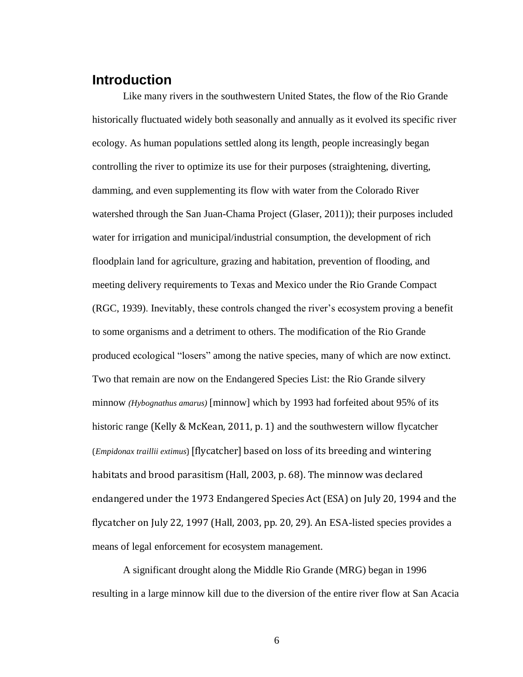### <span id="page-6-0"></span>**Introduction**

Like many rivers in the southwestern United States, the flow of the Rio Grande historically fluctuated widely both seasonally and annually as it evolved its specific river ecology. As human populations settled along its length, people increasingly began controlling the river to optimize its use for their purposes (straightening, diverting, damming, and even supplementing its flow with water from the Colorado River watershed through the San Juan-Chama Project (Glaser, 2011)); their purposes included water for irrigation and municipal/industrial consumption, the development of rich floodplain land for agriculture, grazing and habitation, prevention of flooding, and meeting delivery requirements to Texas and Mexico under the Rio Grande Compact (RGC, 1939). Inevitably, these controls changed the river's ecosystem proving a benefit to some organisms and a detriment to others. The modification of the Rio Grande produced ecological "losers" among the native species, many of which are now extinct. Two that remain are now on the Endangered Species List: the Rio Grande silvery minnow *(Hybognathus amarus)* [minnow] which by 1993 had forfeited about 95% of its historic range (Kelly & McKean, 2011, p. 1) and the southwestern willow flycatcher (*Empidonax traillii extimus*) [flycatcher] based on loss of its breeding and wintering habitats and brood parasitism (Hall, 2003, p. 68). The minnow was declared endangered under the 1973 Endangered Species Act (ESA) on July 20, 1994 and the flycatcher on July 22, 1997 (Hall, 2003, pp. 20, 29). An ESA-listed species provides a means of legal enforcement for ecosystem management.

A significant drought along the Middle Rio Grande (MRG) began in 1996 resulting in a large minnow kill due to the diversion of the entire river flow at San Acacia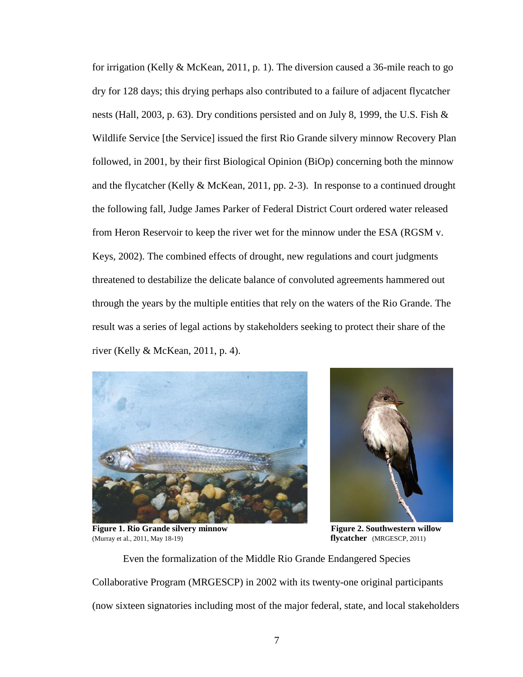for irrigation (Kelly & McKean, 2011, p. 1). The diversion caused a 36-mile reach to go dry for 128 days; this drying perhaps also contributed to a failure of adjacent flycatcher nests (Hall, 2003, p. 63). Dry conditions persisted and on July 8, 1999, the U.S. Fish & Wildlife Service [the Service] issued the first Rio Grande silvery minnow Recovery Plan followed, in 2001, by their first Biological Opinion (BiOp) concerning both the minnow and the flycatcher (Kelly & McKean, 2011, pp. 2-3). In response to a continued drought the following fall, Judge James Parker of Federal District Court ordered water released from Heron Reservoir to keep the river wet for the minnow under the ESA (RGSM v. Keys, 2002). The combined effects of drought, new regulations and court judgments threatened to destabilize the delicate balance of convoluted agreements hammered out through the years by the multiple entities that rely on the waters of the Rio Grande. The result was a series of legal actions by stakeholders seeking to protect their share of the river (Kelly & McKean, 2011, p. 4).





**Figure 1. Rio Grande silvery minnow Figure 2. Southwestern willow**  (Murray et al., 2011, May 18-19) **flycatcher** (MRGESCP, 2011)

Even the formalization of the Middle Rio Grande Endangered Species Collaborative Program (MRGESCP) in 2002 with its twenty-one original participants (now sixteen signatories including most of the major federal, state, and local stakeholders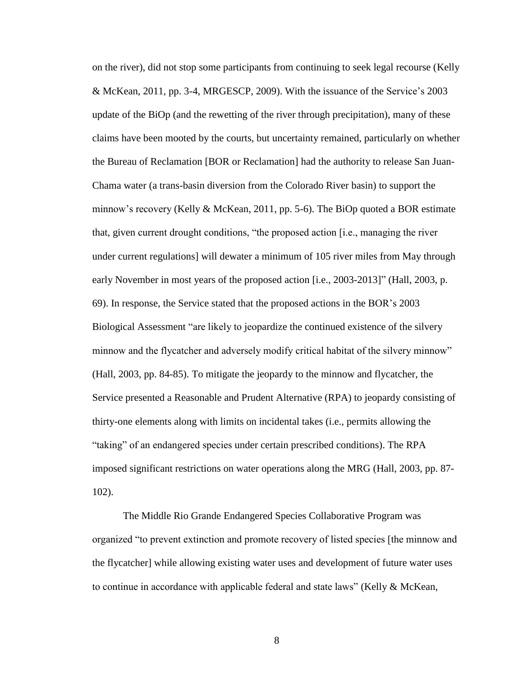on the river), did not stop some participants from continuing to seek legal recourse (Kelly & McKean, 2011, pp. 3-4, MRGESCP, 2009). With the issuance of the Service's 2003 update of the BiOp (and the rewetting of the river through precipitation), many of these claims have been mooted by the courts, but uncertainty remained, particularly on whether the Bureau of Reclamation [BOR or Reclamation] had the authority to release San Juan-Chama water (a trans-basin diversion from the Colorado River basin) to support the minnow's recovery (Kelly & McKean, 2011, pp. 5-6). The BiOp quoted a BOR estimate that, given current drought conditions, "the proposed action [i.e., managing the river under current regulations] will dewater a minimum of 105 river miles from May through early November in most years of the proposed action [i.e., 2003-2013]" (Hall, 2003, p. 69). In response, the Service stated that the proposed actions in the BOR's 2003 Biological Assessment "are likely to jeopardize the continued existence of the silvery minnow and the flycatcher and adversely modify critical habitat of the silvery minnow" (Hall, 2003, pp. 84-85). To mitigate the jeopardy to the minnow and flycatcher, the Service presented a Reasonable and Prudent Alternative (RPA) to jeopardy consisting of thirty-one elements along with limits on incidental takes (i.e., permits allowing the "taking" of an endangered species under certain prescribed conditions). The RPA imposed significant restrictions on water operations along the MRG (Hall, 2003, pp. 87- 102).

The Middle Rio Grande Endangered Species Collaborative Program was organized "to prevent extinction and promote recovery of listed species [the minnow and the flycatcher] while allowing existing water uses and development of future water uses to continue in accordance with applicable federal and state laws" (Kelly & McKean,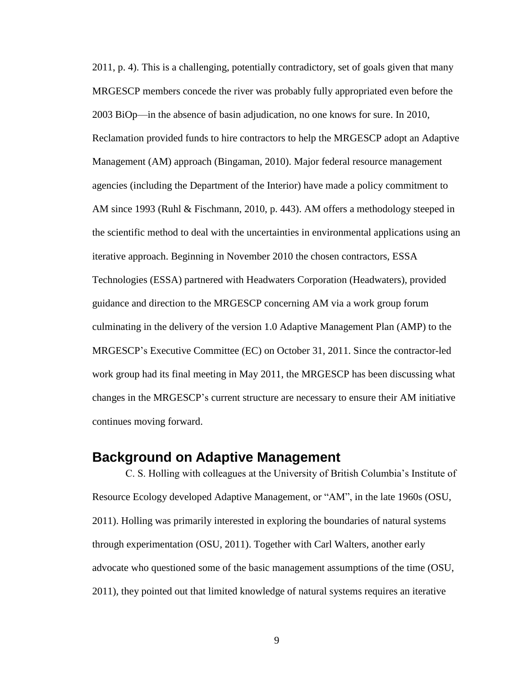2011, p. 4). This is a challenging, potentially contradictory, set of goals given that many MRGESCP members concede the river was probably fully appropriated even before the 2003 BiOp—in the absence of basin adjudication, no one knows for sure. In 2010, Reclamation provided funds to hire contractors to help the MRGESCP adopt an Adaptive Management (AM) approach (Bingaman, 2010). Major federal resource management agencies (including the Department of the Interior) have made a policy commitment to AM since 1993 (Ruhl & Fischmann, 2010, p. 443). AM offers a methodology steeped in the scientific method to deal with the uncertainties in environmental applications using an iterative approach. Beginning in November 2010 the chosen contractors, ESSA Technologies (ESSA) partnered with Headwaters Corporation (Headwaters), provided guidance and direction to the MRGESCP concerning AM via a work group forum culminating in the delivery of the version 1.0 Adaptive Management Plan (AMP) to the MRGESCP's Executive Committee (EC) on October 31, 2011. Since the contractor-led work group had its final meeting in May 2011, the MRGESCP has been discussing what changes in the MRGESCP's current structure are necessary to ensure their AM initiative continues moving forward.

### <span id="page-9-0"></span>**Background on Adaptive Management**

C. S. Holling with colleagues at the University of British Columbia's Institute of Resource Ecology developed Adaptive Management, or "AM", in the late 1960s (OSU, 2011). Holling was primarily interested in exploring the boundaries of natural systems through experimentation (OSU, 2011). Together with Carl Walters, another early advocate who questioned some of the basic management assumptions of the time (OSU, 2011), they pointed out that limited knowledge of natural systems requires an iterative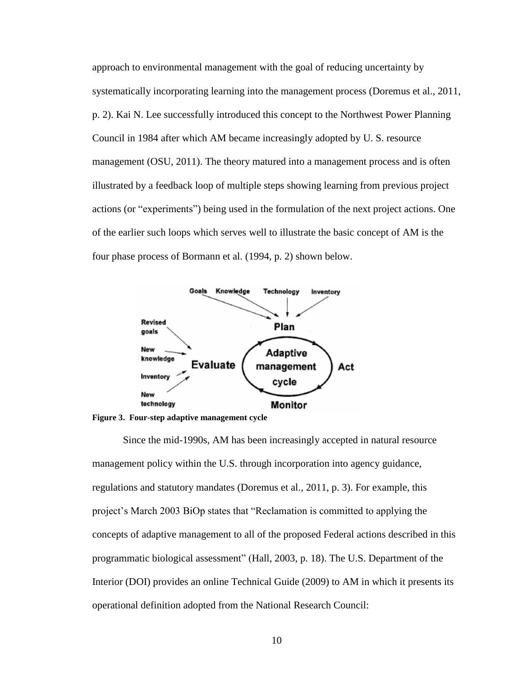approach to environmental management with the goal of reducing uncertainty by systematically incorporating learning into the management process (Doremus et al., 2011, p. 2). Kai N. Lee successfully introduced this concept to the Northwest Power Planning Council in 1984 after which AM became increasingly adopted by U. S. resource management (OSU, 2011). The theory matured into a management process and is often illustrated by a feedback loop of multiple steps showing learning from previous project actions (or "experiments") being used in the formulation of the next project actions. One of the earlier such loops which serves well to illustrate the basic concept of AM is the four phase process of Bormann et al. (1994, p. 2) shown below.



**Figure 3. Four-step adaptive management cycle**

Since the mid-1990s, AM has been increasingly accepted in natural resource management policy within the U.S. through incorporation into agency guidance, regulations and statutory mandates (Doremus et al., 2011, p. 3). For example, this project's March 2003 BiOp states that "Reclamation is committed to applying the concepts of adaptive management to all of the proposed Federal actions described in this programmatic biological assessment" (Hall, 2003, p. 18). The U.S. Department of the Interior (DOI) provides an online Technical Guide (2009) to AM in which it presents its operational definition adopted from the National Research Council: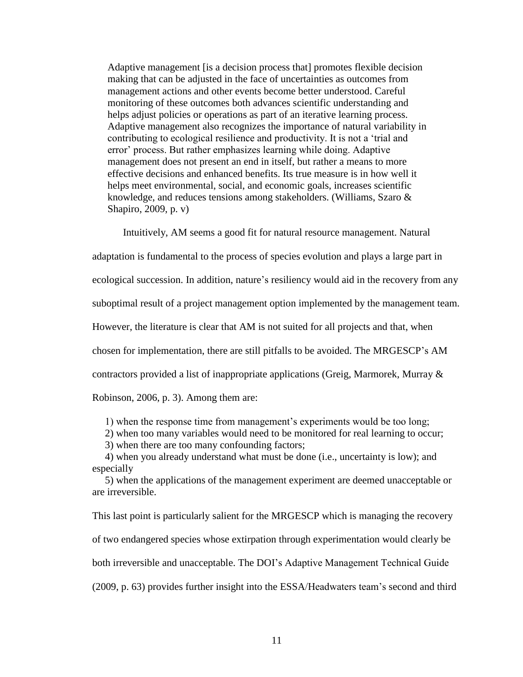Adaptive management [is a decision process that] promotes flexible decision making that can be adjusted in the face of uncertainties as outcomes from management actions and other events become better understood. Careful monitoring of these outcomes both advances scientific understanding and helps adjust policies or operations as part of an iterative learning process. Adaptive management also recognizes the importance of natural variability in contributing to ecological resilience and productivity. It is not a 'trial and error' process. But rather emphasizes learning while doing. Adaptive management does not present an end in itself, but rather a means to more effective decisions and enhanced benefits. Its true measure is in how well it helps meet environmental, social, and economic goals, increases scientific knowledge, and reduces tensions among stakeholders. (Williams, Szaro & Shapiro, 2009, p. v)

Intuitively, AM seems a good fit for natural resource management. Natural

adaptation is fundamental to the process of species evolution and plays a large part in

ecological succession. In addition, nature's resiliency would aid in the recovery from any

suboptimal result of a project management option implemented by the management team.

However, the literature is clear that AM is not suited for all projects and that, when

chosen for implementation, there are still pitfalls to be avoided. The MRGESCP's AM

contractors provided a list of inappropriate applications (Greig, Marmorek, Murray &

Robinson, 2006, p. 3). Among them are:

1) when the response time from management's experiments would be too long;

2) when too many variables would need to be monitored for real learning to occur;

3) when there are too many confounding factors;

 4) when you already understand what must be done (i.e., uncertainty is low); and especially

 5) when the applications of the management experiment are deemed unacceptable or are irreversible.

This last point is particularly salient for the MRGESCP which is managing the recovery of two endangered species whose extirpation through experimentation would clearly be both irreversible and unacceptable. The DOI's Adaptive Management Technical Guide (2009, p. 63) provides further insight into the ESSA/Headwaters team's second and third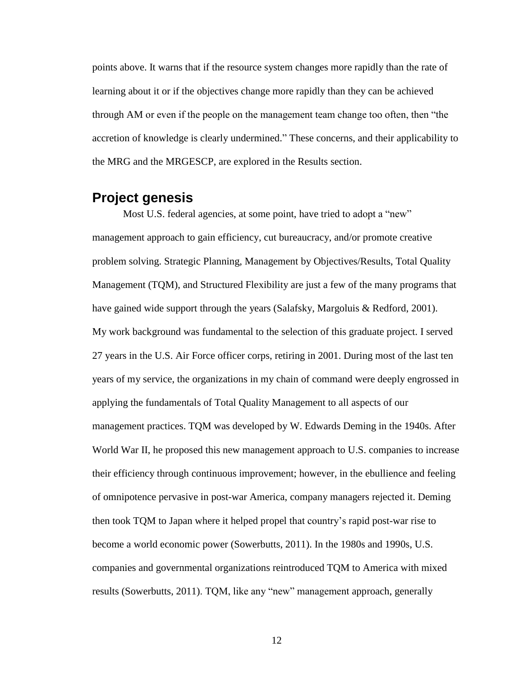points above. It warns that if the resource system changes more rapidly than the rate of learning about it or if the objectives change more rapidly than they can be achieved through AM or even if the people on the management team change too often, then "the accretion of knowledge is clearly undermined." These concerns, and their applicability to the MRG and the MRGESCP, are explored in the Results section.

### <span id="page-12-0"></span>**Project genesis**

Most U.S. federal agencies, at some point, have tried to adopt a "new" management approach to gain efficiency, cut bureaucracy, and/or promote creative problem solving. Strategic Planning, Management by Objectives/Results, Total Quality Management (TQM), and Structured Flexibility are just a few of the many programs that have gained wide support through the years (Salafsky, Margoluis & Redford, 2001). My work background was fundamental to the selection of this graduate project. I served 27 years in the U.S. Air Force officer corps, retiring in 2001. During most of the last ten years of my service, the organizations in my chain of command were deeply engrossed in applying the fundamentals of Total Quality Management to all aspects of our management practices. TQM was developed by W. Edwards Deming in the 1940s. After World War II, he proposed this new management approach to U.S. companies to increase their efficiency through continuous improvement; however, in the ebullience and feeling of omnipotence pervasive in post-war America, company managers rejected it. Deming then took TQM to Japan where it helped propel that country's rapid post-war rise to become a world economic power (Sowerbutts, 2011). In the 1980s and 1990s, U.S. companies and governmental organizations reintroduced TQM to America with mixed results (Sowerbutts, 2011). TQM, like any "new" management approach, generally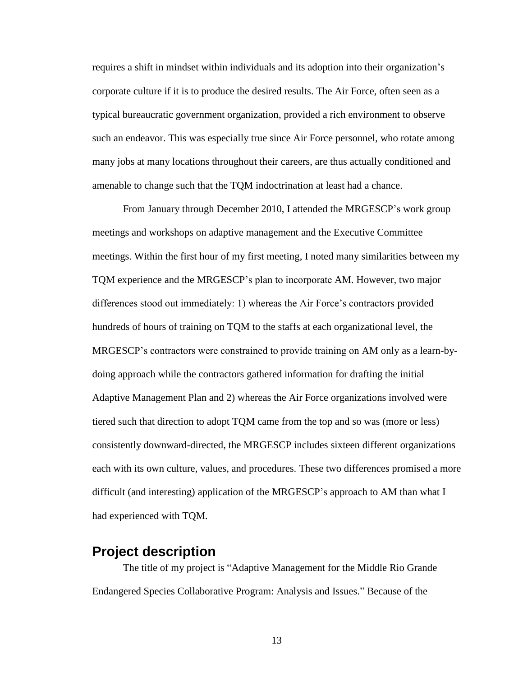requires a shift in mindset within individuals and its adoption into their organization's corporate culture if it is to produce the desired results. The Air Force, often seen as a typical bureaucratic government organization, provided a rich environment to observe such an endeavor. This was especially true since Air Force personnel, who rotate among many jobs at many locations throughout their careers, are thus actually conditioned and amenable to change such that the TQM indoctrination at least had a chance.

From January through December 2010, I attended the MRGESCP's work group meetings and workshops on adaptive management and the Executive Committee meetings. Within the first hour of my first meeting, I noted many similarities between my TQM experience and the MRGESCP's plan to incorporate AM. However, two major differences stood out immediately: 1) whereas the Air Force's contractors provided hundreds of hours of training on TQM to the staffs at each organizational level, the MRGESCP's contractors were constrained to provide training on AM only as a learn-bydoing approach while the contractors gathered information for drafting the initial Adaptive Management Plan and 2) whereas the Air Force organizations involved were tiered such that direction to adopt TQM came from the top and so was (more or less) consistently downward-directed, the MRGESCP includes sixteen different organizations each with its own culture, values, and procedures. These two differences promised a more difficult (and interesting) application of the MRGESCP's approach to AM than what I had experienced with TQM.

### <span id="page-13-0"></span>**Project description**

The title of my project is "Adaptive Management for the Middle Rio Grande Endangered Species Collaborative Program: Analysis and Issues." Because of the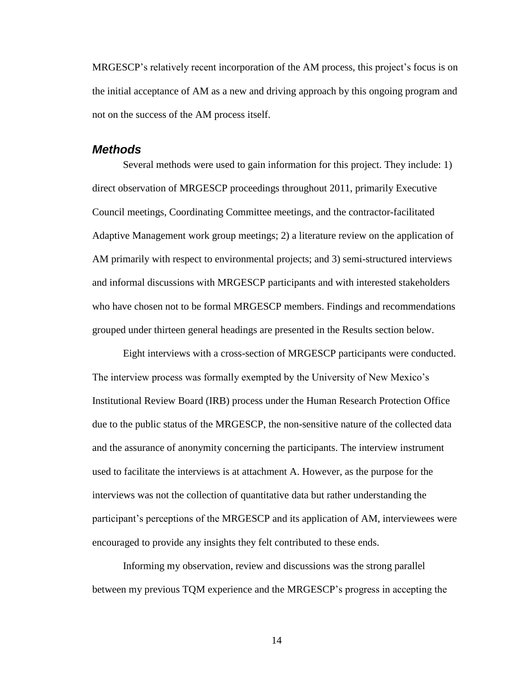MRGESCP's relatively recent incorporation of the AM process, this project's focus is on the initial acceptance of AM as a new and driving approach by this ongoing program and not on the success of the AM process itself.

#### <span id="page-14-0"></span>*Methods*

Several methods were used to gain information for this project. They include: 1) direct observation of MRGESCP proceedings throughout 2011, primarily Executive Council meetings, Coordinating Committee meetings, and the contractor-facilitated Adaptive Management work group meetings; 2) a literature review on the application of AM primarily with respect to environmental projects; and 3) semi-structured interviews and informal discussions with MRGESCP participants and with interested stakeholders who have chosen not to be formal MRGESCP members. Findings and recommendations grouped under thirteen general headings are presented in the Results section below.

Eight interviews with a cross-section of MRGESCP participants were conducted. The interview process was formally exempted by the University of New Mexico's Institutional Review Board (IRB) process under the Human Research Protection Office due to the public status of the MRGESCP, the non-sensitive nature of the collected data and the assurance of anonymity concerning the participants. The interview instrument used to facilitate the interviews is at attachment A. However, as the purpose for the interviews was not the collection of quantitative data but rather understanding the participant's perceptions of the MRGESCP and its application of AM, interviewees were encouraged to provide any insights they felt contributed to these ends.

Informing my observation, review and discussions was the strong parallel between my previous TQM experience and the MRGESCP's progress in accepting the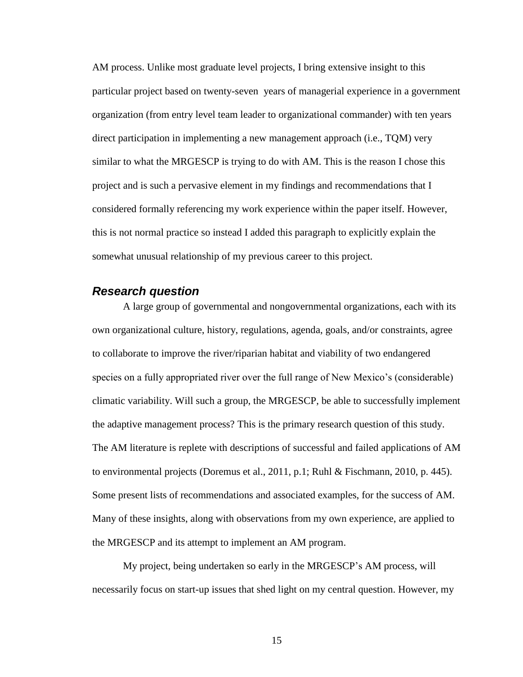AM process. Unlike most graduate level projects, I bring extensive insight to this particular project based on twenty-seven years of managerial experience in a government organization (from entry level team leader to organizational commander) with ten years direct participation in implementing a new management approach (i.e., TQM) very similar to what the MRGESCP is trying to do with AM. This is the reason I chose this project and is such a pervasive element in my findings and recommendations that I considered formally referencing my work experience within the paper itself. However, this is not normal practice so instead I added this paragraph to explicitly explain the somewhat unusual relationship of my previous career to this project.

#### <span id="page-15-0"></span>*Research question*

A large group of governmental and nongovernmental organizations, each with its own organizational culture, history, regulations, agenda, goals, and/or constraints, agree to collaborate to improve the river/riparian habitat and viability of two endangered species on a fully appropriated river over the full range of New Mexico's (considerable) climatic variability. Will such a group, the MRGESCP, be able to successfully implement the adaptive management process? This is the primary research question of this study. The AM literature is replete with descriptions of successful and failed applications of AM to environmental projects (Doremus et al., 2011, p.1; Ruhl & Fischmann, 2010, p. 445). Some present lists of recommendations and associated examples, for the success of AM. Many of these insights, along with observations from my own experience, are applied to the MRGESCP and its attempt to implement an AM program.

My project, being undertaken so early in the MRGESCP's AM process, will necessarily focus on start-up issues that shed light on my central question. However, my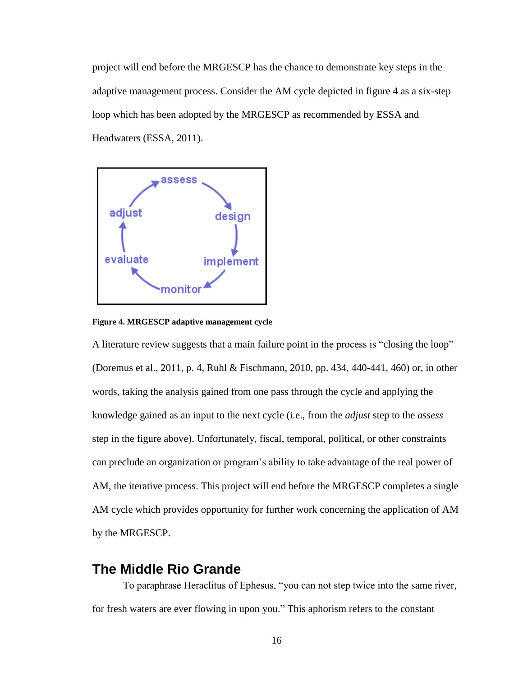project will end before the MRGESCP has the chance to demonstrate key steps in the adaptive management process. Consider the AM cycle depicted in figure 4 as a six-step loop which has been adopted by the MRGESCP as recommended by ESSA and Headwaters (ESSA, 2011).



**Figure 4. MRGESCP adaptive management cycle**

A literature review suggests that a main failure point in the process is "closing the loop" (Doremus et al., 2011, p. 4, Ruhl & Fischmann, 2010, pp. 434, 440-441, 460) or, in other words, taking the analysis gained from one pass through the cycle and applying the knowledge gained as an input to the next cycle (i.e., from the *adjust* step to the *assess*  step in the figure above). Unfortunately, fiscal, temporal, political, or other constraints can preclude an organization or program's ability to take advantage of the real power of AM, the iterative process. This project will end before the MRGESCP completes a single AM cycle which provides opportunity for further work concerning the application of AM by the MRGESCP.

### <span id="page-16-0"></span>**The Middle Rio Grande**

To paraphrase Heraclitus of Ephesus, "you can not step twice into the same river, for fresh waters are ever flowing in upon you." This aphorism refers to the constant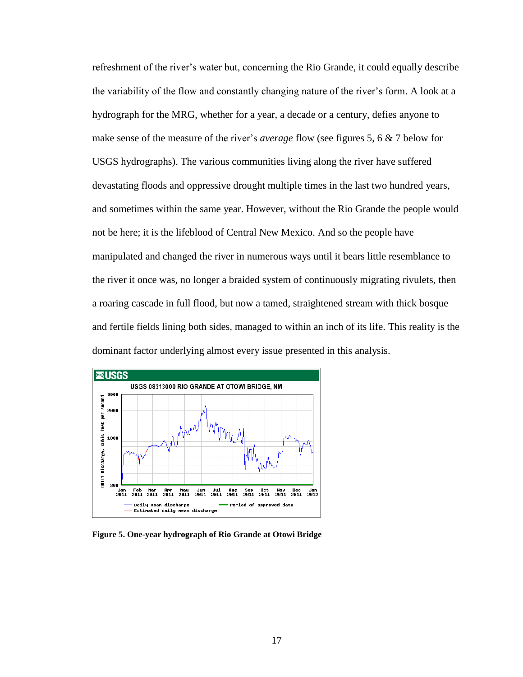refreshment of the river's water but, concerning the Rio Grande, it could equally describe the variability of the flow and constantly changing nature of the river's form. A look at a hydrograph for the MRG, whether for a year, a decade or a century, defies anyone to make sense of the measure of the river's *average* flow (see figures 5, 6 & 7 below for USGS hydrographs). The various communities living along the river have suffered devastating floods and oppressive drought multiple times in the last two hundred years, and sometimes within the same year. However, without the Rio Grande the people would not be here; it is the lifeblood of Central New Mexico. And so the people have manipulated and changed the river in numerous ways until it bears little resemblance to the river it once was, no longer a braided system of continuously migrating rivulets, then a roaring cascade in full flood, but now a tamed, straightened stream with thick bosque and fertile fields lining both sides, managed to within an inch of its life. This reality is the dominant factor underlying almost every issue presented in this analysis.



**Figure 5. One-year hydrograph of Rio Grande at Otowi Bridge**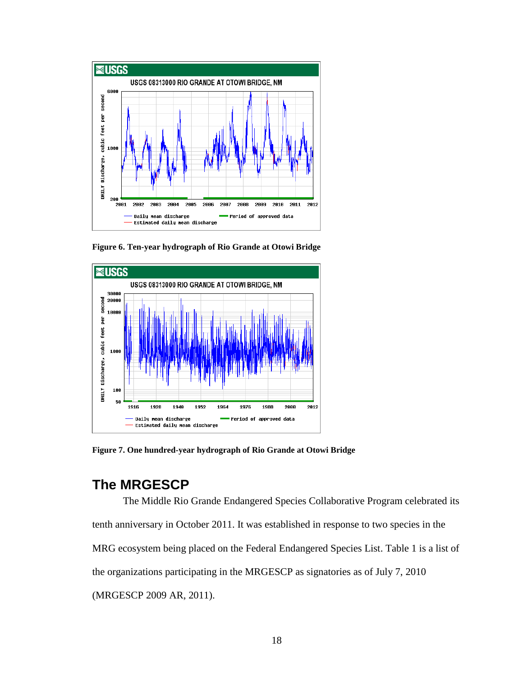

**Figure 6. Ten-year hydrograph of Rio Grande at Otowi Bridge**



**Figure 7. One hundred-year hydrograph of Rio Grande at Otowi Bridge**

### <span id="page-18-0"></span>**The MRGESCP**

The Middle Rio Grande Endangered Species Collaborative Program celebrated its tenth anniversary in October 2011. It was established in response to two species in the MRG ecosystem being placed on the Federal Endangered Species List. Table 1 is a list of the organizations participating in the MRGESCP as signatories as of July 7, 2010 (MRGESCP 2009 AR, 2011).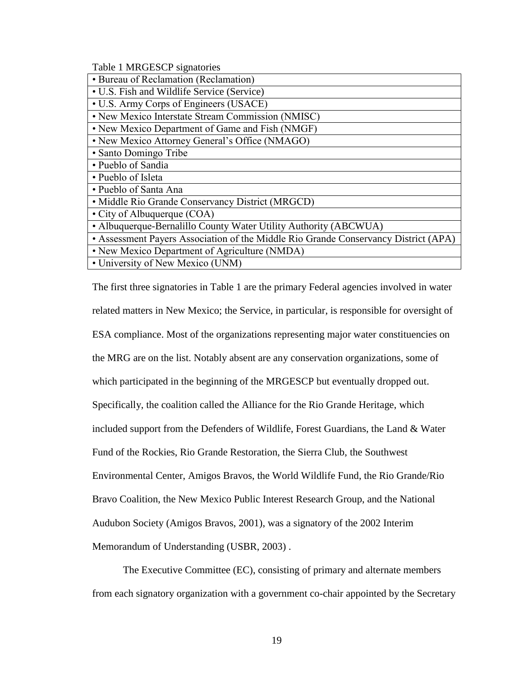<span id="page-19-0"></span>Table 1 MRGESCP signatories

| • Bureau of Reclamation (Reclamation)                                               |
|-------------------------------------------------------------------------------------|
| • U.S. Fish and Wildlife Service (Service)                                          |
| • U.S. Army Corps of Engineers (USACE)                                              |
| • New Mexico Interstate Stream Commission (NMISC)                                   |
| • New Mexico Department of Game and Fish (NMGF)                                     |
| • New Mexico Attorney General's Office (NMAGO)                                      |
| • Santo Domingo Tribe                                                               |
| • Pueblo of Sandia                                                                  |
| • Pueblo of Isleta                                                                  |
| • Pueblo of Santa Ana                                                               |
| • Middle Rio Grande Conservancy District (MRGCD)                                    |
| • City of Albuquerque (COA)                                                         |
| • Albuquerque-Bernalillo County Water Utility Authority (ABCWUA)                    |
| • Assessment Payers Association of the Middle Rio Grande Conservancy District (APA) |
| • New Mexico Department of Agriculture (NMDA)                                       |
| • University of New Mexico (UNM)                                                    |

The first three signatories in Table 1 are the primary Federal agencies involved in water related matters in New Mexico; the Service, in particular, is responsible for oversight of ESA compliance. Most of the organizations representing major water constituencies on the MRG are on the list. Notably absent are any conservation organizations, some of which participated in the beginning of the MRGESCP but eventually dropped out. Specifically, the coalition called the Alliance for the Rio Grande Heritage, which included support from the Defenders of Wildlife, Forest Guardians, the Land & Water Fund of the Rockies, Rio Grande Restoration, the Sierra Club, the Southwest Environmental Center, Amigos Bravos, the World Wildlife Fund, the Rio Grande/Rio Bravo Coalition, the New Mexico Public Interest Research Group, and the National Audubon Society (Amigos Bravos, 2001), was a signatory of the 2002 Interim Memorandum of Understanding (USBR, 2003) .

The Executive Committee (EC), consisting of primary and alternate members from each signatory organization with a government co-chair appointed by the Secretary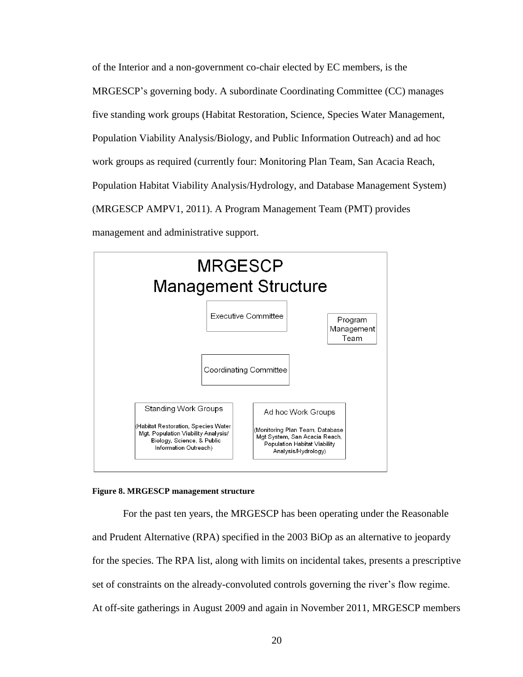of the Interior and a non-government co-chair elected by EC members, is the MRGESCP's governing body. A subordinate Coordinating Committee (CC) manages five standing work groups (Habitat Restoration, Science, Species Water Management, Population Viability Analysis/Biology, and Public Information Outreach) and ad hoc work groups as required (currently four: Monitoring Plan Team, San Acacia Reach, Population Habitat Viability Analysis/Hydrology, and Database Management System) (MRGESCP AMPV1, 2011). A Program Management Team (PMT) provides management and administrative support.



#### **Figure 8. MRGESCP management structure**

For the past ten years, the MRGESCP has been operating under the Reasonable and Prudent Alternative (RPA) specified in the 2003 BiOp as an alternative to jeopardy for the species. The RPA list, along with limits on incidental takes, presents a prescriptive set of constraints on the already-convoluted controls governing the river's flow regime. At off-site gatherings in August 2009 and again in November 2011, MRGESCP members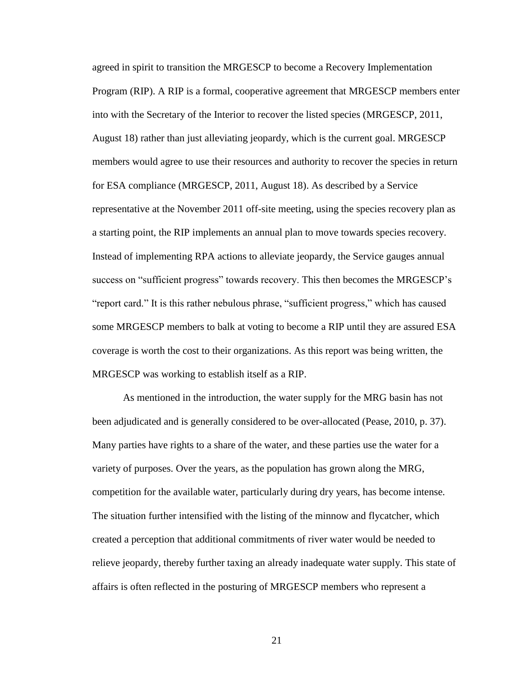agreed in spirit to transition the MRGESCP to become a Recovery Implementation Program (RIP). A RIP is a formal, cooperative agreement that MRGESCP members enter into with the Secretary of the Interior to recover the listed species (MRGESCP, 2011, August 18) rather than just alleviating jeopardy, which is the current goal. MRGESCP members would agree to use their resources and authority to recover the species in return for ESA compliance (MRGESCP, 2011, August 18). As described by a Service representative at the November 2011 off-site meeting, using the species recovery plan as a starting point, the RIP implements an annual plan to move towards species recovery. Instead of implementing RPA actions to alleviate jeopardy, the Service gauges annual success on "sufficient progress" towards recovery. This then becomes the MRGESCP's "report card." It is this rather nebulous phrase, "sufficient progress," which has caused some MRGESCP members to balk at voting to become a RIP until they are assured ESA coverage is worth the cost to their organizations. As this report was being written, the MRGESCP was working to establish itself as a RIP.

As mentioned in the introduction, the water supply for the MRG basin has not been adjudicated and is generally considered to be over-allocated (Pease, 2010, p. 37). Many parties have rights to a share of the water, and these parties use the water for a variety of purposes. Over the years, as the population has grown along the MRG, competition for the available water, particularly during dry years, has become intense. The situation further intensified with the listing of the minnow and flycatcher, which created a perception that additional commitments of river water would be needed to relieve jeopardy, thereby further taxing an already inadequate water supply. This state of affairs is often reflected in the posturing of MRGESCP members who represent a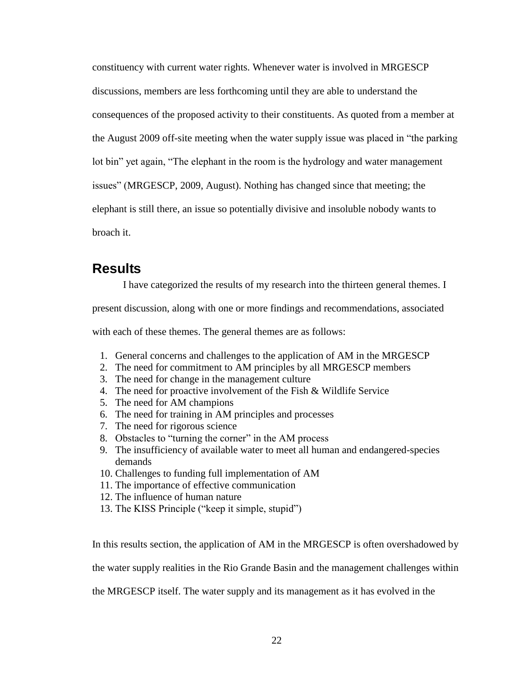constituency with current water rights. Whenever water is involved in MRGESCP discussions, members are less forthcoming until they are able to understand the consequences of the proposed activity to their constituents. As quoted from a member at the August 2009 off-site meeting when the water supply issue was placed in "the parking lot bin" yet again, "The elephant in the room is the hydrology and water management issues" (MRGESCP, 2009, August). Nothing has changed since that meeting; the elephant is still there, an issue so potentially divisive and insoluble nobody wants to broach it.

### <span id="page-22-0"></span>**Results**

I have categorized the results of my research into the thirteen general themes. I

present discussion, along with one or more findings and recommendations, associated

with each of these themes. The general themes are as follows:

- 1. General concerns and challenges to the application of AM in the MRGESCP
- 2. The need for commitment to AM principles by all MRGESCP members
- 3. The need for change in the management culture
- 4. The need for proactive involvement of the Fish & Wildlife Service
- 5. The need for AM champions
- 6. The need for training in AM principles and processes
- 7. The need for rigorous science
- 8. Obstacles to "turning the corner" in the AM process
- 9. The insufficiency of available water to meet all human and endangered-species demands
- 10. Challenges to funding full implementation of AM
- 11. The importance of effective communication
- 12. The influence of human nature
- 13. The KISS Principle ("keep it simple, stupid")

In this results section, the application of AM in the MRGESCP is often overshadowed by

the water supply realities in the Rio Grande Basin and the management challenges within

the MRGESCP itself. The water supply and its management as it has evolved in the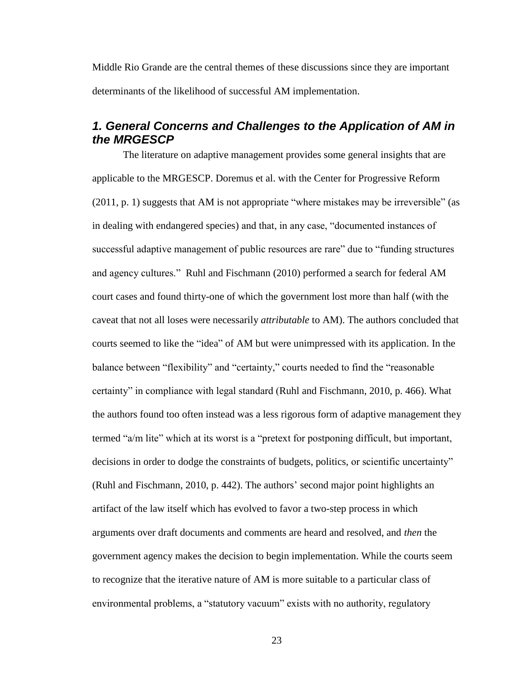Middle Rio Grande are the central themes of these discussions since they are important determinants of the likelihood of successful AM implementation.

### <span id="page-23-0"></span>*1. General Concerns and Challenges to the Application of AM in the MRGESCP*

The literature on adaptive management provides some general insights that are applicable to the MRGESCP. Doremus et al. with the Center for Progressive Reform (2011, p. 1) suggests that AM is not appropriate "where mistakes may be irreversible" (as in dealing with endangered species) and that, in any case, "documented instances of successful adaptive management of public resources are rare" due to "funding structures and agency cultures." Ruhl and Fischmann (2010) performed a search for federal AM court cases and found thirty-one of which the government lost more than half (with the caveat that not all loses were necessarily *attributable* to AM). The authors concluded that courts seemed to like the "idea" of AM but were unimpressed with its application. In the balance between "flexibility" and "certainty," courts needed to find the "reasonable certainty" in compliance with legal standard (Ruhl and Fischmann, 2010, p. 466). What the authors found too often instead was a less rigorous form of adaptive management they termed "a/m lite" which at its worst is a "pretext for postponing difficult, but important, decisions in order to dodge the constraints of budgets, politics, or scientific uncertainty" (Ruhl and Fischmann, 2010, p. 442). The authors' second major point highlights an artifact of the law itself which has evolved to favor a two-step process in which arguments over draft documents and comments are heard and resolved, and *then* the government agency makes the decision to begin implementation. While the courts seem to recognize that the iterative nature of AM is more suitable to a particular class of environmental problems, a "statutory vacuum" exists with no authority, regulatory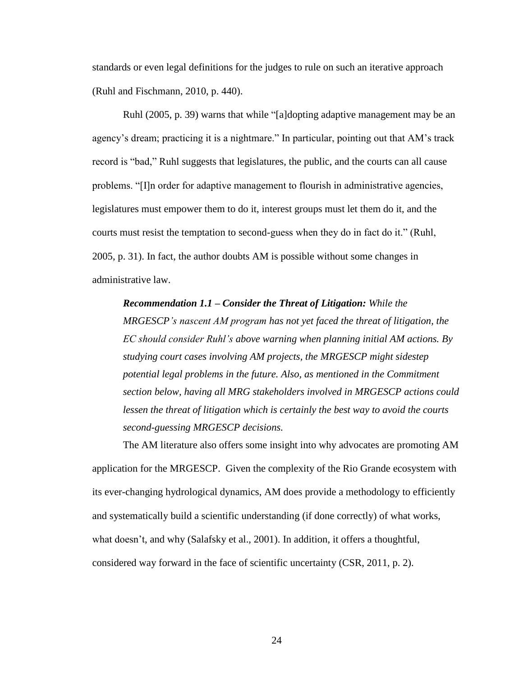standards or even legal definitions for the judges to rule on such an iterative approach (Ruhl and Fischmann, 2010, p. 440).

Ruhl (2005, p. 39) warns that while "[a]dopting adaptive management may be an agency's dream; practicing it is a nightmare." In particular, pointing out that AM's track record is "bad," Ruhl suggests that legislatures, the public, and the courts can all cause problems. "[I]n order for adaptive management to flourish in administrative agencies, legislatures must empower them to do it, interest groups must let them do it, and the courts must resist the temptation to second-guess when they do in fact do it." (Ruhl, 2005, p. 31). In fact, the author doubts AM is possible without some changes in administrative law.

*Recommendation 1.1 – Consider the Threat of Litigation: While the MRGESCP's nascent AM program has not yet faced the threat of litigation, the EC should consider Ruhl's above warning when planning initial AM actions. By studying court cases involving AM projects, the MRGESCP might sidestep potential legal problems in the future. Also, as mentioned in the Commitment section below, having all MRG stakeholders involved in MRGESCP actions could lessen the threat of litigation which is certainly the best way to avoid the courts second-guessing MRGESCP decisions.*

The AM literature also offers some insight into why advocates are promoting AM application for the MRGESCP. Given the complexity of the Rio Grande ecosystem with its ever-changing hydrological dynamics, AM does provide a methodology to efficiently and systematically build a scientific understanding (if done correctly) of what works, what doesn't, and why (Salafsky et al., 2001). In addition, it offers a thoughtful, considered way forward in the face of scientific uncertainty (CSR, 2011, p. 2).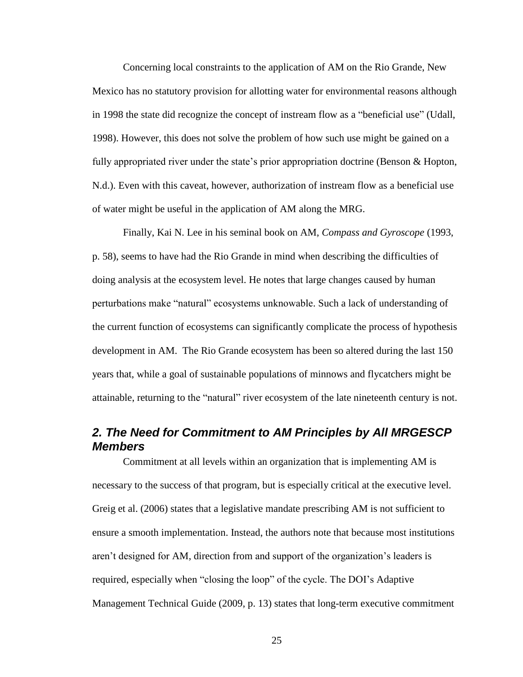Concerning local constraints to the application of AM on the Rio Grande, New Mexico has no statutory provision for allotting water for environmental reasons although in 1998 the state did recognize the concept of instream flow as a "beneficial use" (Udall, 1998). However, this does not solve the problem of how such use might be gained on a fully appropriated river under the state's prior appropriation doctrine (Benson & Hopton, N.d.). Even with this caveat, however, authorization of instream flow as a beneficial use of water might be useful in the application of AM along the MRG.

Finally, Kai N. Lee in his seminal book on AM, *Compass and Gyroscope* (1993, p. 58), seems to have had the Rio Grande in mind when describing the difficulties of doing analysis at the ecosystem level. He notes that large changes caused by human perturbations make "natural" ecosystems unknowable. Such a lack of understanding of the current function of ecosystems can significantly complicate the process of hypothesis development in AM. The Rio Grande ecosystem has been so altered during the last 150 years that, while a goal of sustainable populations of minnows and flycatchers might be attainable, returning to the "natural" river ecosystem of the late nineteenth century is not.

### <span id="page-25-0"></span>*2. The Need for Commitment to AM Principles by All MRGESCP Members*

Commitment at all levels within an organization that is implementing AM is necessary to the success of that program, but is especially critical at the executive level. Greig et al. (2006) states that a legislative mandate prescribing AM is not sufficient to ensure a smooth implementation. Instead, the authors note that because most institutions aren't designed for AM, direction from and support of the organization's leaders is required, especially when "closing the loop" of the cycle. The DOI's Adaptive Management Technical Guide (2009, p. 13) states that long-term executive commitment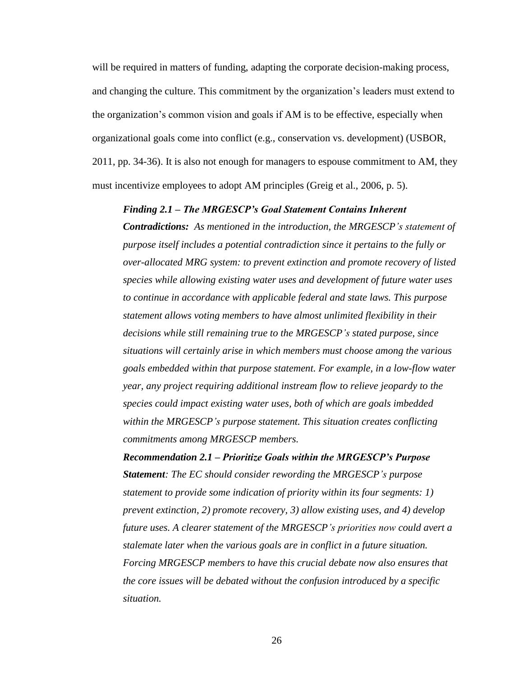will be required in matters of funding, adapting the corporate decision-making process, and changing the culture. This commitment by the organization's leaders must extend to the organization's common vision and goals if AM is to be effective, especially when organizational goals come into conflict (e.g., conservation vs. development) (USBOR, 2011, pp. 34-36). It is also not enough for managers to espouse commitment to AM, they must incentivize employees to adopt AM principles (Greig et al., 2006, p. 5).

#### *Finding 2.1 – The MRGESCP's Goal Statement Contains Inherent*

*Contradictions: As mentioned in the introduction, the MRGESCP's statement of purpose itself includes a potential contradiction since it pertains to the fully or over-allocated MRG system: to prevent extinction and promote recovery of listed species while allowing existing water uses and development of future water uses to continue in accordance with applicable federal and state laws. This purpose statement allows voting members to have almost unlimited flexibility in their decisions while still remaining true to the MRGESCP's stated purpose, since situations will certainly arise in which members must choose among the various goals embedded within that purpose statement. For example, in a low-flow water year, any project requiring additional instream flow to relieve jeopardy to the species could impact existing water uses, both of which are goals imbedded within the MRGESCP's purpose statement. This situation creates conflicting commitments among MRGESCP members.*

*Recommendation 2.1 – Prioritize Goals within the MRGESCP's Purpose Statement: The EC should consider rewording the MRGESCP's purpose statement to provide some indication of priority within its four segments: 1) prevent extinction, 2) promote recovery, 3) allow existing uses, and 4) develop future uses. A clearer statement of the MRGESCP's priorities now could avert a stalemate later when the various goals are in conflict in a future situation. Forcing MRGESCP members to have this crucial debate now also ensures that the core issues will be debated without the confusion introduced by a specific situation.*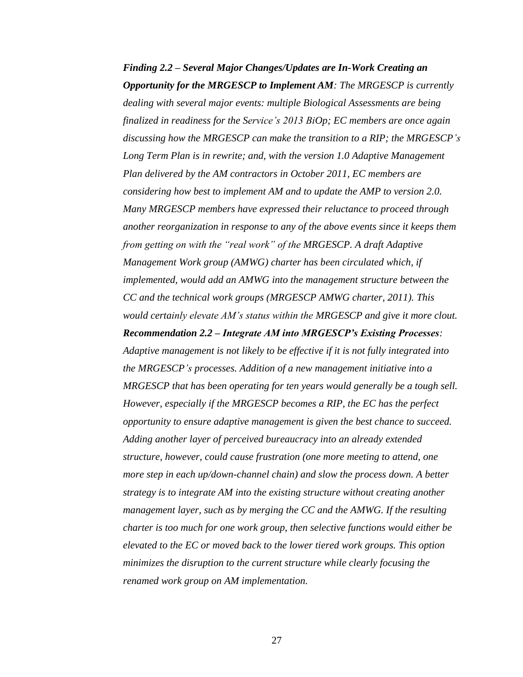*Finding 2.2 – Several Major Changes/Updates are In-Work Creating an Opportunity for the MRGESCP to Implement AM: The MRGESCP is currently dealing with several major events: multiple Biological Assessments are being finalized in readiness for the Service's 2013 BiOp; EC members are once again discussing how the MRGESCP can make the transition to a RIP; the MRGESCP's Long Term Plan is in rewrite; and, with the version 1.0 Adaptive Management Plan delivered by the AM contractors in October 2011, EC members are considering how best to implement AM and to update the AMP to version 2.0. Many MRGESCP members have expressed their reluctance to proceed through another reorganization in response to any of the above events since it keeps them from getting on with the "real work" of the MRGESCP. A draft Adaptive Management Work group (AMWG) charter has been circulated which, if implemented, would add an AMWG into the management structure between the CC and the technical work groups (MRGESCP AMWG charter, 2011). This would certainly elevate AM's status within the MRGESCP and give it more clout. Recommendation 2.2 – Integrate AM into MRGESCP's Existing Processes: Adaptive management is not likely to be effective if it is not fully integrated into the MRGESCP's processes. Addition of a new management initiative into a MRGESCP that has been operating for ten years would generally be a tough sell. However, especially if the MRGESCP becomes a RIP, the EC has the perfect opportunity to ensure adaptive management is given the best chance to succeed. Adding another layer of perceived bureaucracy into an already extended structure, however, could cause frustration (one more meeting to attend, one more step in each up/down-channel chain) and slow the process down. A better strategy is to integrate AM into the existing structure without creating another management layer, such as by merging the CC and the AMWG. If the resulting charter is too much for one work group, then selective functions would either be elevated to the EC or moved back to the lower tiered work groups. This option minimizes the disruption to the current structure while clearly focusing the renamed work group on AM implementation.*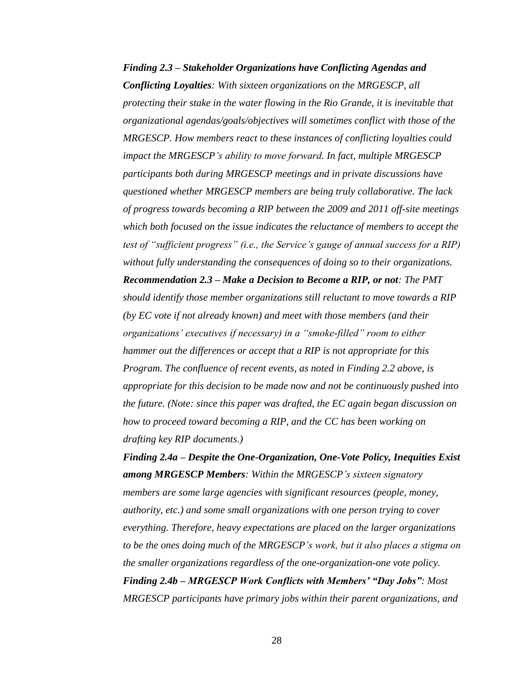*Finding 2.3 – Stakeholder Organizations have Conflicting Agendas and Conflicting Loyalties: With sixteen organizations on the MRGESCP, all protecting their stake in the water flowing in the Rio Grande, it is inevitable that organizational agendas/goals/objectives will sometimes conflict with those of the MRGESCP. How members react to these instances of conflicting loyalties could impact the MRGESCP's ability to move forward. In fact, multiple MRGESCP participants both during MRGESCP meetings and in private discussions have questioned whether MRGESCP members are being truly collaborative. The lack of progress towards becoming a RIP between the 2009 and 2011 off-site meetings which both focused on the issue indicates the reluctance of members to accept the test of "sufficient progress" (i.e., the Service's gauge of annual success for a RIP) without fully understanding the consequences of doing so to their organizations. Recommendation 2.3 – Make a Decision to Become a RIP, or not: The PMT should identify those member organizations still reluctant to move towards a RIP (by EC vote if not already known) and meet with those members (and their organizations' executives if necessary) in a "smoke-filled" room to either hammer out the differences or accept that a RIP is not appropriate for this Program. The confluence of recent events, as noted in Finding 2.2 above, is appropriate for this decision to be made now and not be continuously pushed into the future. (Note: since this paper was drafted, the EC again began discussion on how to proceed toward becoming a RIP, and the CC has been working on drafting key RIP documents.)*

*Finding 2.4a – Despite the One-Organization, One-Vote Policy, Inequities Exist among MRGESCP Members: Within the MRGESCP's sixteen signatory members are some large agencies with significant resources (people, money, authority, etc.) and some small organizations with one person trying to cover everything. Therefore, heavy expectations are placed on the larger organizations to be the ones doing much of the MRGESCP's work, but it also places a stigma on the smaller organizations regardless of the one-organization-one vote policy. Finding 2.4b – MRGESCP Work Conflicts with Members' "Day Jobs": Most MRGESCP participants have primary jobs within their parent organizations, and*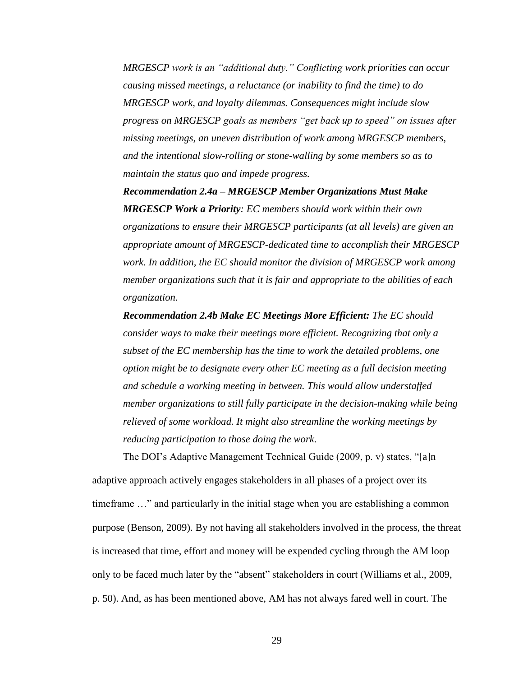*MRGESCP work is an "additional duty." Conflicting work priorities can occur causing missed meetings, a reluctance (or inability to find the time) to do MRGESCP work, and loyalty dilemmas. Consequences might include slow progress on MRGESCP goals as members "get back up to speed" on issues after missing meetings, an uneven distribution of work among MRGESCP members, and the intentional slow-rolling or stone-walling by some members so as to maintain the status quo and impede progress.*

*Recommendation 2.4a – MRGESCP Member Organizations Must Make MRGESCP Work a Priority: EC members should work within their own organizations to ensure their MRGESCP participants (at all levels) are given an appropriate amount of MRGESCP-dedicated time to accomplish their MRGESCP work. In addition, the EC should monitor the division of MRGESCP work among member organizations such that it is fair and appropriate to the abilities of each organization.*

*Recommendation 2.4b Make EC Meetings More Efficient: The EC should consider ways to make their meetings more efficient. Recognizing that only a subset of the EC membership has the time to work the detailed problems, one option might be to designate every other EC meeting as a full decision meeting and schedule a working meeting in between. This would allow understaffed member organizations to still fully participate in the decision-making while being relieved of some workload. It might also streamline the working meetings by reducing participation to those doing the work.*

The DOI's Adaptive Management Technical Guide (2009, p. v) states, "[a]n adaptive approach actively engages stakeholders in all phases of a project over its timeframe …" and particularly in the initial stage when you are establishing a common purpose (Benson, 2009). By not having all stakeholders involved in the process, the threat is increased that time, effort and money will be expended cycling through the AM loop only to be faced much later by the "absent" stakeholders in court (Williams et al., 2009, p. 50). And, as has been mentioned above, AM has not always fared well in court. The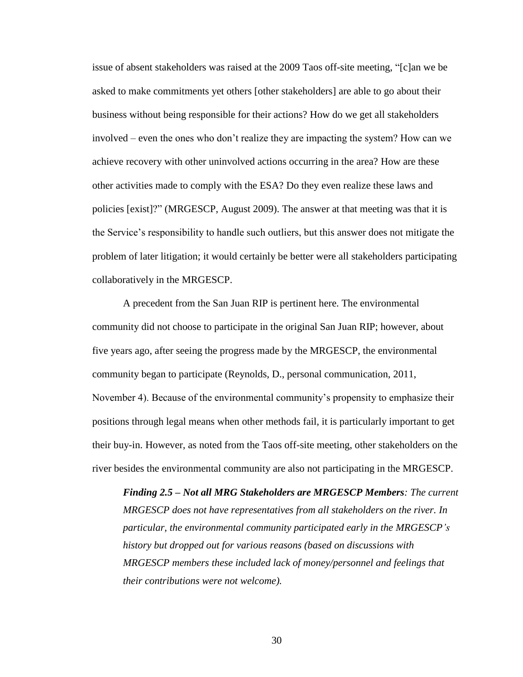issue of absent stakeholders was raised at the 2009 Taos off-site meeting, "[c]an we be asked to make commitments yet others [other stakeholders] are able to go about their business without being responsible for their actions? How do we get all stakeholders involved – even the ones who don't realize they are impacting the system? How can we achieve recovery with other uninvolved actions occurring in the area? How are these other activities made to comply with the ESA? Do they even realize these laws and policies [exist]?" (MRGESCP, August 2009). The answer at that meeting was that it is the Service's responsibility to handle such outliers, but this answer does not mitigate the problem of later litigation; it would certainly be better were all stakeholders participating collaboratively in the MRGESCP.

A precedent from the San Juan RIP is pertinent here. The environmental community did not choose to participate in the original San Juan RIP; however, about five years ago, after seeing the progress made by the MRGESCP, the environmental community began to participate (Reynolds, D., personal communication, 2011, November 4). Because of the environmental community's propensity to emphasize their positions through legal means when other methods fail, it is particularly important to get their buy-in. However, as noted from the Taos off-site meeting, other stakeholders on the river besides the environmental community are also not participating in the MRGESCP.

*Finding 2.5 – Not all MRG Stakeholders are MRGESCP Members: The current MRGESCP does not have representatives from all stakeholders on the river. In particular, the environmental community participated early in the MRGESCP's history but dropped out for various reasons (based on discussions with MRGESCP members these included lack of money/personnel and feelings that their contributions were not welcome).*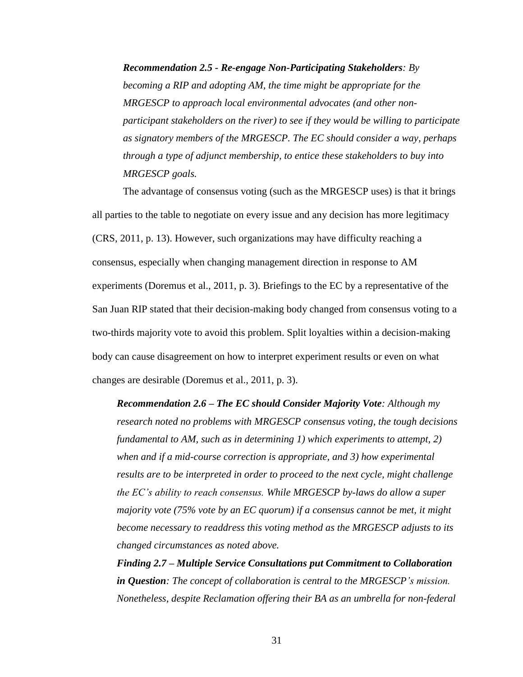*Recommendation 2.5 - Re-engage Non-Participating Stakeholders: By becoming a RIP and adopting AM, the time might be appropriate for the MRGESCP to approach local environmental advocates (and other nonparticipant stakeholders on the river) to see if they would be willing to participate as signatory members of the MRGESCP. The EC should consider a way, perhaps through a type of adjunct membership, to entice these stakeholders to buy into MRGESCP goals.*

The advantage of consensus voting (such as the MRGESCP uses) is that it brings all parties to the table to negotiate on every issue and any decision has more legitimacy (CRS, 2011, p. 13). However, such organizations may have difficulty reaching a consensus, especially when changing management direction in response to AM experiments (Doremus et al., 2011, p. 3). Briefings to the EC by a representative of the San Juan RIP stated that their decision-making body changed from consensus voting to a two-thirds majority vote to avoid this problem. Split loyalties within a decision-making body can cause disagreement on how to interpret experiment results or even on what changes are desirable (Doremus et al., 2011, p. 3).

*Recommendation 2.6 – The EC should Consider Majority Vote: Although my research noted no problems with MRGESCP consensus voting, the tough decisions fundamental to AM, such as in determining 1) which experiments to attempt, 2) when and if a mid-course correction is appropriate, and 3) how experimental results are to be interpreted in order to proceed to the next cycle, might challenge the EC's ability to reach consensus. While MRGESCP by-laws do allow a super majority vote (75% vote by an EC quorum) if a consensus cannot be met, it might become necessary to readdress this voting method as the MRGESCP adjusts to its changed circumstances as noted above.*

*Finding 2.7 – Multiple Service Consultations put Commitment to Collaboration in Question: The concept of collaboration is central to the MRGESCP's mission. Nonetheless, despite Reclamation offering their BA as an umbrella for non-federal*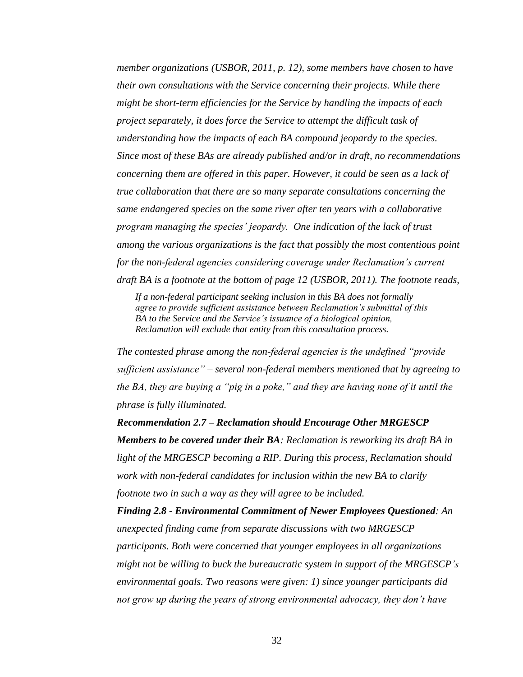*member organizations (USBOR, 2011, p. 12), some members have chosen to have their own consultations with the Service concerning their projects. While there might be short-term efficiencies for the Service by handling the impacts of each project separately, it does force the Service to attempt the difficult task of understanding how the impacts of each BA compound jeopardy to the species. Since most of these BAs are already published and/or in draft, no recommendations concerning them are offered in this paper. However, it could be seen as a lack of true collaboration that there are so many separate consultations concerning the same endangered species on the same river after ten years with a collaborative program managing the species' jeopardy. One indication of the lack of trust among the various organizations is the fact that possibly the most contentious point for the non-federal agencies considering coverage under Reclamation's current draft BA is a footnote at the bottom of page 12 (USBOR, 2011). The footnote reads,* 

*If a non-federal participant seeking inclusion in this BA does not formally agree to provide sufficient assistance between Reclamation's submittal of this BA to the Service and the Service's issuance of a biological opinion, Reclamation will exclude that entity from this consultation process.*

*The contested phrase among the non-federal agencies is the undefined "provide sufficient assistance" – several non-federal members mentioned that by agreeing to the BA, they are buying a "pig in a poke," and they are having none of it until the phrase is fully illuminated.*

*Recommendation 2.7 – Reclamation should Encourage Other MRGESCP Members to be covered under their BA: Reclamation is reworking its draft BA in light of the MRGESCP becoming a RIP. During this process, Reclamation should work with non-federal candidates for inclusion within the new BA to clarify footnote two in such a way as they will agree to be included.*

*Finding 2.8 - Environmental Commitment of Newer Employees Questioned: An unexpected finding came from separate discussions with two MRGESCP participants. Both were concerned that younger employees in all organizations might not be willing to buck the bureaucratic system in support of the MRGESCP's environmental goals. Two reasons were given: 1) since younger participants did not grow up during the years of strong environmental advocacy, they don't have*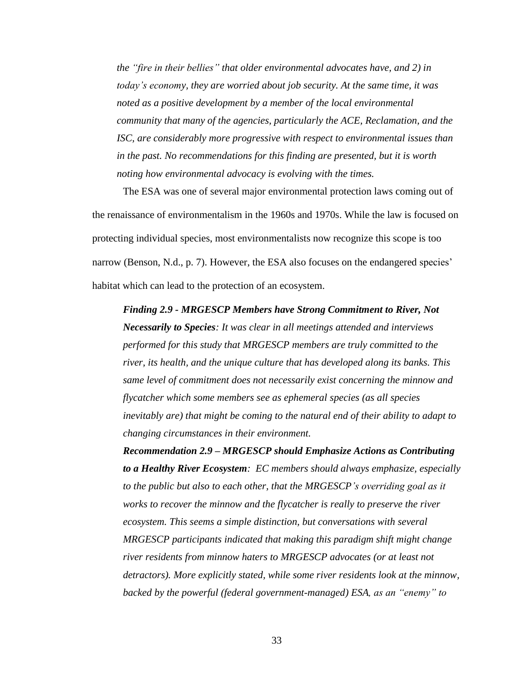*the "fire in their bellies" that older environmental advocates have, and 2) in today's economy, they are worried about job security. At the same time, it was noted as a positive development by a member of the local environmental community that many of the agencies, particularly the ACE, Reclamation, and the ISC, are considerably more progressive with respect to environmental issues than in the past. No recommendations for this finding are presented, but it is worth noting how environmental advocacy is evolving with the times.*

The ESA was one of several major environmental protection laws coming out of the renaissance of environmentalism in the 1960s and 1970s. While the law is focused on protecting individual species, most environmentalists now recognize this scope is too narrow (Benson, N.d., p. 7). However, the ESA also focuses on the endangered species' habitat which can lead to the protection of an ecosystem.

*Finding 2.9 - MRGESCP Members have Strong Commitment to River, Not Necessarily to Species: It was clear in all meetings attended and interviews performed for this study that MRGESCP members are truly committed to the river, its health, and the unique culture that has developed along its banks. This same level of commitment does not necessarily exist concerning the minnow and flycatcher which some members see as ephemeral species (as all species inevitably are) that might be coming to the natural end of their ability to adapt to changing circumstances in their environment.* 

*Recommendation 2.9 – MRGESCP should Emphasize Actions as Contributing to a Healthy River Ecosystem: EC members should always emphasize, especially to the public but also to each other, that the MRGESCP's overriding goal as it works to recover the minnow and the flycatcher is really to preserve the river ecosystem. This seems a simple distinction, but conversations with several MRGESCP participants indicated that making this paradigm shift might change river residents from minnow haters to MRGESCP advocates (or at least not detractors). More explicitly stated, while some river residents look at the minnow, backed by the powerful (federal government-managed) ESA, as an "enemy" to*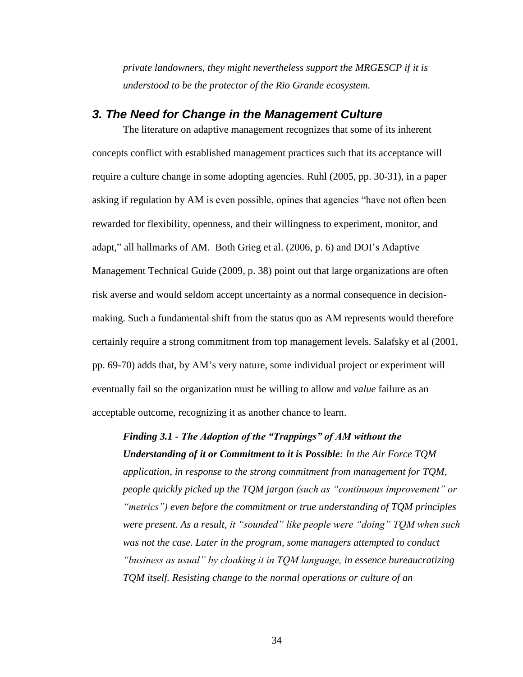*private landowners, they might nevertheless support the MRGESCP if it is understood to be the protector of the Rio Grande ecosystem.*

#### <span id="page-34-0"></span>*3. The Need for Change in the Management Culture*

The literature on adaptive management recognizes that some of its inherent concepts conflict with established management practices such that its acceptance will require a culture change in some adopting agencies. Ruhl (2005, pp. 30-31), in a paper asking if regulation by AM is even possible, opines that agencies "have not often been rewarded for flexibility, openness, and their willingness to experiment, monitor, and adapt," all hallmarks of AM. Both Grieg et al. (2006, p. 6) and DOI's Adaptive Management Technical Guide (2009, p. 38) point out that large organizations are often risk averse and would seldom accept uncertainty as a normal consequence in decisionmaking. Such a fundamental shift from the status quo as AM represents would therefore certainly require a strong commitment from top management levels. Salafsky et al (2001, pp. 69-70) adds that, by AM's very nature, some individual project or experiment will eventually fail so the organization must be willing to allow and *value* failure as an acceptable outcome, recognizing it as another chance to learn.

*Finding 3.1 - The Adoption of the "Trappings" of AM without the Understanding of it or Commitment to it is Possible: In the Air Force TQM application, in response to the strong commitment from management for TQM, people quickly picked up the TQM jargon (such as "continuous improvement" or "metrics") even before the commitment or true understanding of TQM principles were present. As a result, it "sounded" like people were "doing" TQM when such was not the case. Later in the program, some managers attempted to conduct "business as usual" by cloaking it in TQM language, in essence bureaucratizing TQM itself. Resisting change to the normal operations or culture of an*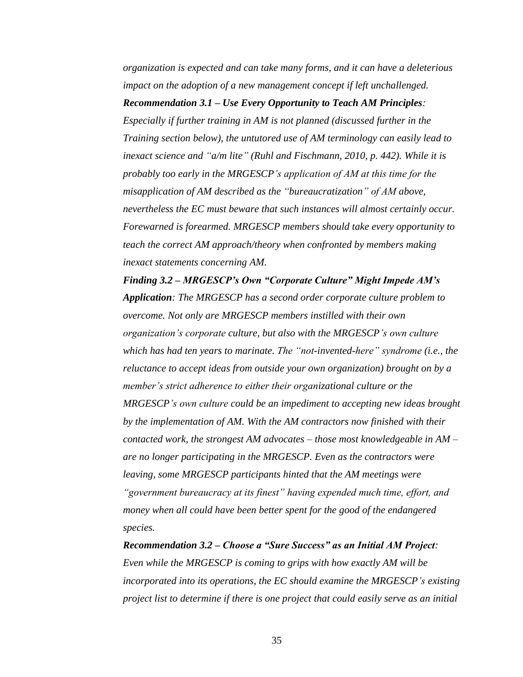*organization is expected and can take many forms, and it can have a deleterious impact on the adoption of a new management concept if left unchallenged.*

#### *Recommendation 3.1 – Use Every Opportunity to Teach AM Principles:*

*Especially if further training in AM is not planned (discussed further in the Training section below), the untutored use of AM terminology can easily lead to inexact science and "a/m lite" (Ruhl and Fischmann, 2010, p. 442). While it is probably too early in the MRGESCP's application of AM at this time for the misapplication of AM described as the "bureaucratization" of AM above, nevertheless the EC must beware that such instances will almost certainly occur. Forewarned is forearmed. MRGESCP members should take every opportunity to teach the correct AM approach/theory when confronted by members making inexact statements concerning AM.*

*Finding 3.2 – MRGESCP's Own "Corporate Culture" Might Impede AM's Application: The MRGESCP has a second order corporate culture problem to overcome. Not only are MRGESCP members instilled with their own organization's corporate culture, but also with the MRGESCP's own culture which has had ten years to marinate. The "not-invented-here" syndrome (i.e., the reluctance to accept ideas from outside your own organization) brought on by a member's strict adherence to either their organizational culture or the MRGESCP's own culture could be an impediment to accepting new ideas brought by the implementation of AM. With the AM contractors now finished with their contacted work, the strongest AM advocates – those most knowledgeable in AM – are no longer participating in the MRGESCP. Even as the contractors were leaving, some MRGESCP participants hinted that the AM meetings were "government bureaucracy at its finest" having expended much time, effort, and money when all could have been better spent for the good of the endangered species.*

*Recommendation 3.2 – Choose a "Sure Success" as an Initial AM Project: Even while the MRGESCP is coming to grips with how exactly AM will be incorporated into its operations, the EC should examine the MRGESCP's existing project list to determine if there is one project that could easily serve as an initial*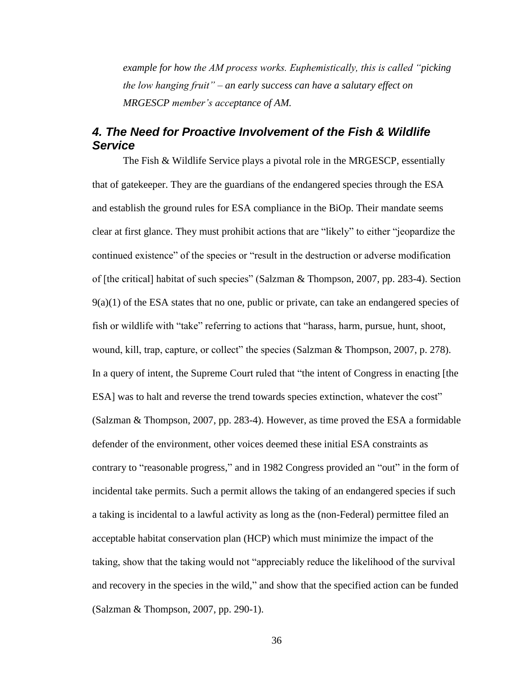*example for how the AM process works. Euphemistically, this is called "picking the low hanging fruit" – an early success can have a salutary effect on MRGESCP member's acceptance of AM.*

## *4. The Need for Proactive Involvement of the Fish & Wildlife Service*

The Fish & Wildlife Service plays a pivotal role in the MRGESCP, essentially that of gatekeeper. They are the guardians of the endangered species through the ESA and establish the ground rules for ESA compliance in the BiOp. Their mandate seems clear at first glance. They must prohibit actions that are "likely" to either "jeopardize the continued existence" of the species or "result in the destruction or adverse modification of [the critical] habitat of such species" (Salzman & Thompson, 2007, pp. 283-4). Section  $9(a)(1)$  of the ESA states that no one, public or private, can take an endangered species of fish or wildlife with "take" referring to actions that "harass, harm, pursue, hunt, shoot, wound, kill, trap, capture, or collect" the species (Salzman & Thompson, 2007, p. 278). In a query of intent, the Supreme Court ruled that "the intent of Congress in enacting [the ESA] was to halt and reverse the trend towards species extinction, whatever the cost" (Salzman & Thompson, 2007, pp. 283-4). However, as time proved the ESA a formidable defender of the environment, other voices deemed these initial ESA constraints as contrary to "reasonable progress," and in 1982 Congress provided an "out" in the form of incidental take permits. Such a permit allows the taking of an endangered species if such a taking is incidental to a lawful activity as long as the (non-Federal) permittee filed an acceptable habitat conservation plan (HCP) which must minimize the impact of the taking, show that the taking would not "appreciably reduce the likelihood of the survival and recovery in the species in the wild," and show that the specified action can be funded (Salzman & Thompson, 2007, pp. 290-1).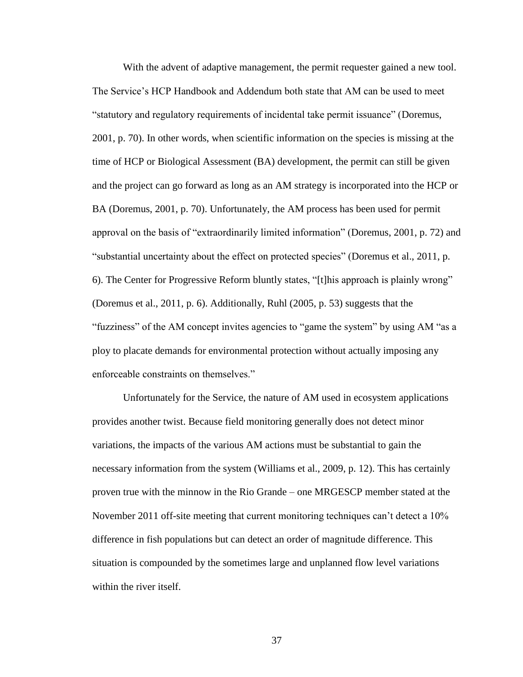With the advent of adaptive management, the permit requester gained a new tool. The Service's HCP Handbook and Addendum both state that AM can be used to meet "statutory and regulatory requirements of incidental take permit issuance" (Doremus, 2001, p. 70). In other words, when scientific information on the species is missing at the time of HCP or Biological Assessment (BA) development, the permit can still be given and the project can go forward as long as an AM strategy is incorporated into the HCP or BA (Doremus, 2001, p. 70). Unfortunately, the AM process has been used for permit approval on the basis of "extraordinarily limited information" (Doremus, 2001, p. 72) and "substantial uncertainty about the effect on protected species" (Doremus et al., 2011, p. 6). The Center for Progressive Reform bluntly states, "[t]his approach is plainly wrong" (Doremus et al., 2011, p. 6). Additionally, Ruhl (2005, p. 53) suggests that the "fuzziness" of the AM concept invites agencies to "game the system" by using AM "as a ploy to placate demands for environmental protection without actually imposing any enforceable constraints on themselves."

Unfortunately for the Service, the nature of AM used in ecosystem applications provides another twist. Because field monitoring generally does not detect minor variations, the impacts of the various AM actions must be substantial to gain the necessary information from the system (Williams et al., 2009, p. 12). This has certainly proven true with the minnow in the Rio Grande – one MRGESCP member stated at the November 2011 off-site meeting that current monitoring techniques can't detect a 10% difference in fish populations but can detect an order of magnitude difference. This situation is compounded by the sometimes large and unplanned flow level variations within the river itself.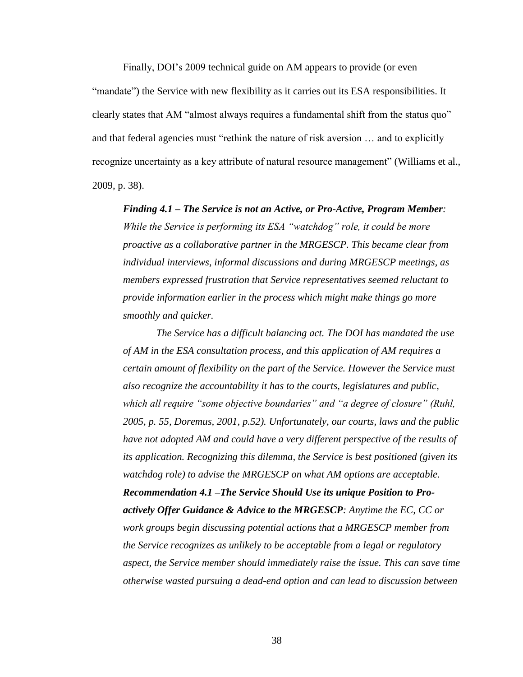Finally, DOI's 2009 technical guide on AM appears to provide (or even "mandate") the Service with new flexibility as it carries out its ESA responsibilities. It clearly states that AM "almost always requires a fundamental shift from the status quo" and that federal agencies must "rethink the nature of risk aversion … and to explicitly recognize uncertainty as a key attribute of natural resource management" (Williams et al., 2009, p. 38).

*Finding 4.1 – The Service is not an Active, or Pro-Active, Program Member: While the Service is performing its ESA "watchdog" role, it could be more proactive as a collaborative partner in the MRGESCP. This became clear from individual interviews, informal discussions and during MRGESCP meetings, as members expressed frustration that Service representatives seemed reluctant to provide information earlier in the process which might make things go more smoothly and quicker.* 

*The Service has a difficult balancing act. The DOI has mandated the use of AM in the ESA consultation process, and this application of AM requires a certain amount of flexibility on the part of the Service. However the Service must also recognize the accountability it has to the courts, legislatures and public, which all require "some objective boundaries" and "a degree of closure" (Ruhl, 2005, p. 55, Doremus, 2001, p.52). Unfortunately, our courts, laws and the public have not adopted AM and could have a very different perspective of the results of its application. Recognizing this dilemma, the Service is best positioned (given its watchdog role) to advise the MRGESCP on what AM options are acceptable. Recommendation 4.1 –The Service Should Use its unique Position to Proactively Offer Guidance & Advice to the MRGESCP: Anytime the EC, CC or work groups begin discussing potential actions that a MRGESCP member from the Service recognizes as unlikely to be acceptable from a legal or regulatory aspect, the Service member should immediately raise the issue. This can save time otherwise wasted pursuing a dead-end option and can lead to discussion between*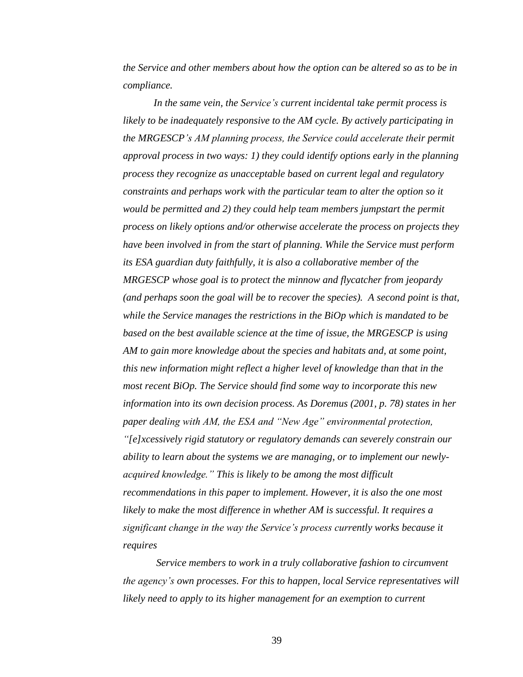*the Service and other members about how the option can be altered so as to be in compliance.*

*In the same vein, the Service's current incidental take permit process is likely to be inadequately responsive to the AM cycle. By actively participating in the MRGESCP's AM planning process, the Service could accelerate their permit approval process in two ways: 1) they could identify options early in the planning process they recognize as unacceptable based on current legal and regulatory constraints and perhaps work with the particular team to alter the option so it would be permitted and 2) they could help team members jumpstart the permit process on likely options and/or otherwise accelerate the process on projects they have been involved in from the start of planning. While the Service must perform its ESA guardian duty faithfully, it is also a collaborative member of the MRGESCP whose goal is to protect the minnow and flycatcher from jeopardy (and perhaps soon the goal will be to recover the species). A second point is that, while the Service manages the restrictions in the BiOp which is mandated to be based on the best available science at the time of issue, the MRGESCP is using AM to gain more knowledge about the species and habitats and, at some point, this new information might reflect a higher level of knowledge than that in the most recent BiOp. The Service should find some way to incorporate this new information into its own decision process. As Doremus (2001, p. 78) states in her paper dealing with AM, the ESA and "New Age" environmental protection, "[e]xcessively rigid statutory or regulatory demands can severely constrain our ability to learn about the systems we are managing, or to implement our newlyacquired knowledge." This is likely to be among the most difficult recommendations in this paper to implement. However, it is also the one most likely to make the most difference in whether AM is successful. It requires a significant change in the way the Service's process currently works because it requires*

*Service members to work in a truly collaborative fashion to circumvent the agency's own processes. For this to happen, local Service representatives will likely need to apply to its higher management for an exemption to current*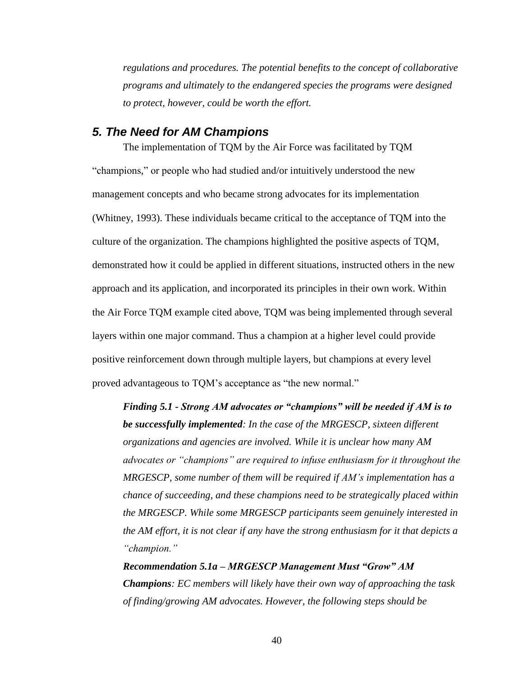*regulations and procedures. The potential benefits to the concept of collaborative programs and ultimately to the endangered species the programs were designed to protect, however, could be worth the effort.*

#### *5. The Need for AM Champions*

The implementation of TQM by the Air Force was facilitated by TQM "champions," or people who had studied and/or intuitively understood the new management concepts and who became strong advocates for its implementation (Whitney, 1993). These individuals became critical to the acceptance of TQM into the culture of the organization. The champions highlighted the positive aspects of TQM, demonstrated how it could be applied in different situations, instructed others in the new approach and its application, and incorporated its principles in their own work. Within the Air Force TQM example cited above, TQM was being implemented through several layers within one major command. Thus a champion at a higher level could provide positive reinforcement down through multiple layers, but champions at every level proved advantageous to TQM's acceptance as "the new normal."

*Finding 5.1 - Strong AM advocates or "champions" will be needed if AM is to be successfully implemented: In the case of the MRGESCP, sixteen different organizations and agencies are involved. While it is unclear how many AM advocates or "champions" are required to infuse enthusiasm for it throughout the MRGESCP, some number of them will be required if AM's implementation has a chance of succeeding, and these champions need to be strategically placed within the MRGESCP. While some MRGESCP participants seem genuinely interested in the AM effort, it is not clear if any have the strong enthusiasm for it that depicts a "champion."*

*Recommendation 5.1a – MRGESCP Management Must "Grow" AM Champions: EC members will likely have their own way of approaching the task of finding/growing AM advocates. However, the following steps should be*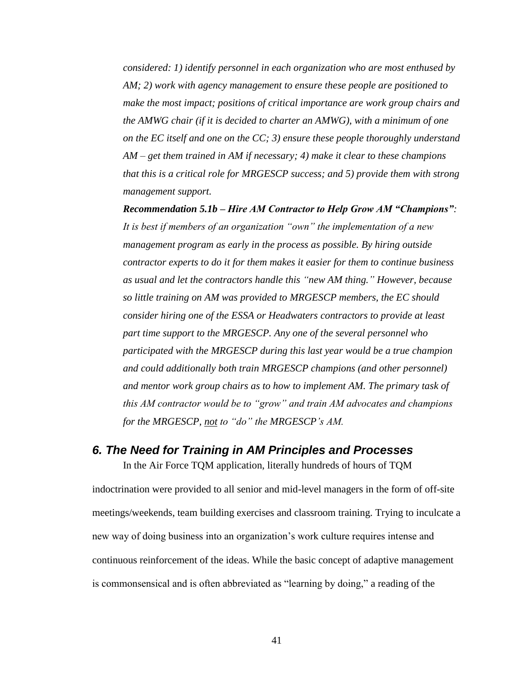*considered: 1) identify personnel in each organization who are most enthused by AM; 2) work with agency management to ensure these people are positioned to make the most impact; positions of critical importance are work group chairs and the AMWG chair (if it is decided to charter an AMWG), with a minimum of one on the EC itself and one on the CC; 3) ensure these people thoroughly understand AM – get them trained in AM if necessary; 4) make it clear to these champions that this is a critical role for MRGESCP success; and 5) provide them with strong management support.*

*Recommendation 5.1b – Hire AM Contractor to Help Grow AM "Champions": It is best if members of an organization "own" the implementation of a new management program as early in the process as possible. By hiring outside contractor experts to do it for them makes it easier for them to continue business as usual and let the contractors handle this "new AM thing." However, because so little training on AM was provided to MRGESCP members, the EC should consider hiring one of the ESSA or Headwaters contractors to provide at least part time support to the MRGESCP. Any one of the several personnel who participated with the MRGESCP during this last year would be a true champion and could additionally both train MRGESCP champions (and other personnel) and mentor work group chairs as to how to implement AM. The primary task of this AM contractor would be to "grow" and train AM advocates and champions for the MRGESCP, not to "do" the MRGESCP's AM.*

#### *6. The Need for Training in AM Principles and Processes*

In the Air Force TQM application, literally hundreds of hours of TQM indoctrination were provided to all senior and mid-level managers in the form of off-site meetings/weekends, team building exercises and classroom training. Trying to inculcate a new way of doing business into an organization's work culture requires intense and continuous reinforcement of the ideas. While the basic concept of adaptive management is commonsensical and is often abbreviated as "learning by doing," a reading of the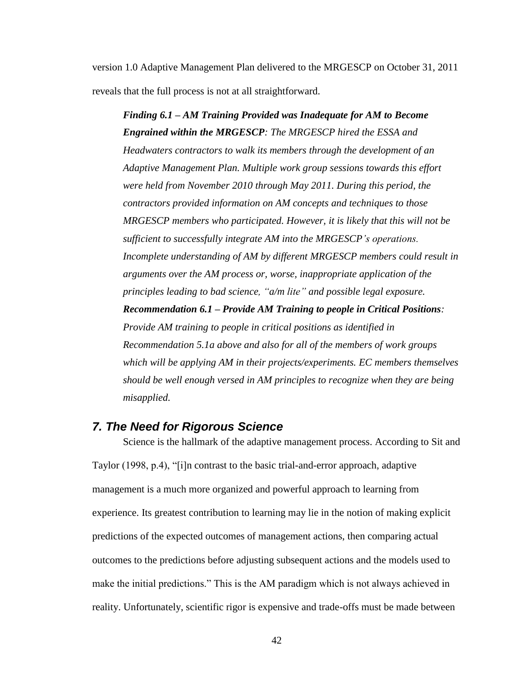version 1.0 Adaptive Management Plan delivered to the MRGESCP on October 31, 2011 reveals that the full process is not at all straightforward.

*Finding 6.1 – AM Training Provided was Inadequate for AM to Become Engrained within the MRGESCP: The MRGESCP hired the ESSA and Headwaters contractors to walk its members through the development of an Adaptive Management Plan. Multiple work group sessions towards this effort were held from November 2010 through May 2011. During this period, the contractors provided information on AM concepts and techniques to those MRGESCP members who participated. However, it is likely that this will not be sufficient to successfully integrate AM into the MRGESCP's operations. Incomplete understanding of AM by different MRGESCP members could result in arguments over the AM process or, worse, inappropriate application of the principles leading to bad science, "a/m lite" and possible legal exposure. Recommendation 6.1 – Provide AM Training to people in Critical Positions: Provide AM training to people in critical positions as identified in Recommendation 5.1a above and also for all of the members of work groups which will be applying AM in their projects/experiments. EC members themselves should be well enough versed in AM principles to recognize when they are being misapplied.*

### *7. The Need for Rigorous Science*

Science is the hallmark of the adaptive management process. According to Sit and Taylor (1998, p.4), "[i]n contrast to the basic trial-and-error approach, adaptive management is a much more organized and powerful approach to learning from experience. Its greatest contribution to learning may lie in the notion of making explicit predictions of the expected outcomes of management actions, then comparing actual outcomes to the predictions before adjusting subsequent actions and the models used to make the initial predictions." This is the AM paradigm which is not always achieved in reality. Unfortunately, scientific rigor is expensive and trade-offs must be made between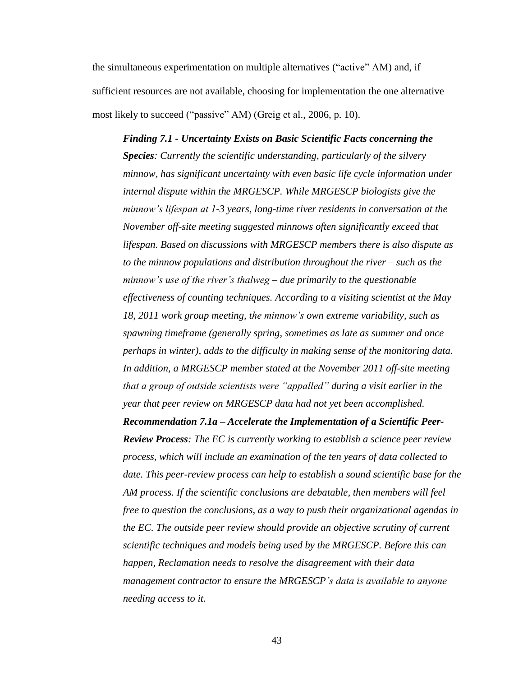the simultaneous experimentation on multiple alternatives ("active" AM) and, if sufficient resources are not available, choosing for implementation the one alternative most likely to succeed ("passive" AM) (Greig et al., 2006, p. 10).

*Finding 7.1 - Uncertainty Exists on Basic Scientific Facts concerning the Species: Currently the scientific understanding, particularly of the silvery minnow, has significant uncertainty with even basic life cycle information under internal dispute within the MRGESCP. While MRGESCP biologists give the minnow's lifespan at 1-3 years, long-time river residents in conversation at the November off-site meeting suggested minnows often significantly exceed that lifespan. Based on discussions with MRGESCP members there is also dispute as to the minnow populations and distribution throughout the river – such as the minnow's use of the river's thalweg – due primarily to the questionable effectiveness of counting techniques. According to a visiting scientist at the May 18, 2011 work group meeting, the minnow's own extreme variability, such as spawning timeframe (generally spring, sometimes as late as summer and once perhaps in winter), adds to the difficulty in making sense of the monitoring data. In addition, a MRGESCP member stated at the November 2011 off-site meeting that a group of outside scientists were "appalled" during a visit earlier in the year that peer review on MRGESCP data had not yet been accomplished. Recommendation 7.1a – Accelerate the Implementation of a Scientific Peer-Review Process: The EC is currently working to establish a science peer review process, which will include an examination of the ten years of data collected to date. This peer-review process can help to establish a sound scientific base for the AM process. If the scientific conclusions are debatable, then members will feel free to question the conclusions, as a way to push their organizational agendas in the EC. The outside peer review should provide an objective scrutiny of current scientific techniques and models being used by the MRGESCP. Before this can happen, Reclamation needs to resolve the disagreement with their data management contractor to ensure the MRGESCP's data is available to anyone needing access to it.*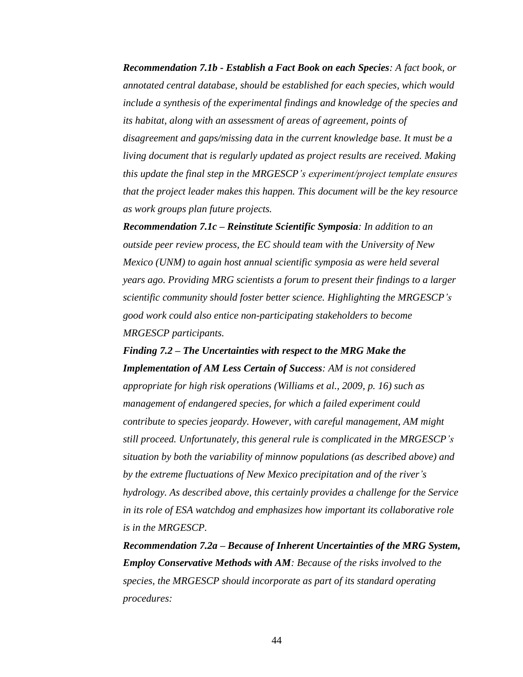*Recommendation 7.1b - Establish a Fact Book on each Species: A fact book, or annotated central database, should be established for each species, which would include a synthesis of the experimental findings and knowledge of the species and its habitat, along with an assessment of areas of agreement, points of disagreement and gaps/missing data in the current knowledge base. It must be a living document that is regularly updated as project results are received. Making this update the final step in the MRGESCP's experiment/project template ensures that the project leader makes this happen. This document will be the key resource as work groups plan future projects.*

*Recommendation 7.1c – Reinstitute Scientific Symposia: In addition to an outside peer review process, the EC should team with the University of New Mexico (UNM) to again host annual scientific symposia as were held several years ago. Providing MRG scientists a forum to present their findings to a larger scientific community should foster better science. Highlighting the MRGESCP's good work could also entice non-participating stakeholders to become MRGESCP participants.*

*Finding 7.2 – The Uncertainties with respect to the MRG Make the Implementation of AM Less Certain of Success: AM is not considered appropriate for high risk operations (Williams et al., 2009, p. 16) such as management of endangered species, for which a failed experiment could contribute to species jeopardy. However, with careful management, AM might still proceed. Unfortunately, this general rule is complicated in the MRGESCP's situation by both the variability of minnow populations (as described above) and by the extreme fluctuations of New Mexico precipitation and of the river's hydrology. As described above, this certainly provides a challenge for the Service in its role of ESA watchdog and emphasizes how important its collaborative role is in the MRGESCP.*

*Recommendation 7.2a – Because of Inherent Uncertainties of the MRG System, Employ Conservative Methods with AM: Because of the risks involved to the species, the MRGESCP should incorporate as part of its standard operating procedures:*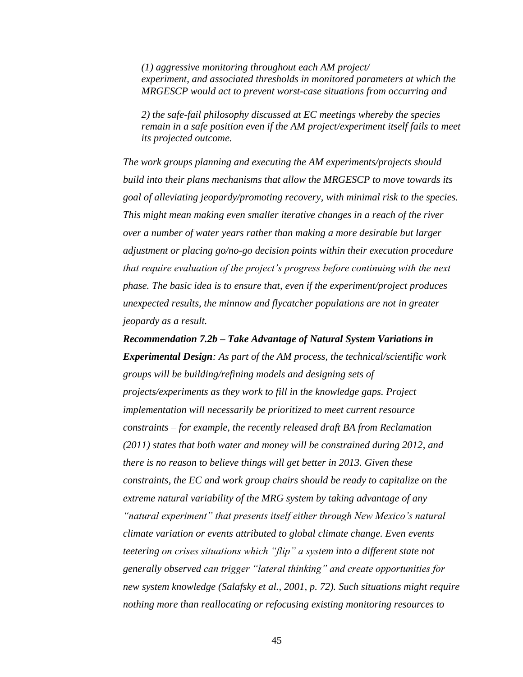*(1) aggressive monitoring throughout each AM project/ experiment, and associated thresholds in monitored parameters at which the MRGESCP would act to prevent worst-case situations from occurring and* 

*2) the safe-fail philosophy discussed at EC meetings whereby the species remain in a safe position even if the AM project/experiment itself fails to meet its projected outcome.*

*The work groups planning and executing the AM experiments/projects should build into their plans mechanisms that allow the MRGESCP to move towards its goal of alleviating jeopardy/promoting recovery, with minimal risk to the species. This might mean making even smaller iterative changes in a reach of the river over a number of water years rather than making a more desirable but larger adjustment or placing go/no-go decision points within their execution procedure that require evaluation of the project's progress before continuing with the next phase. The basic idea is to ensure that, even if the experiment/project produces unexpected results, the minnow and flycatcher populations are not in greater jeopardy as a result.*

*Recommendation 7.2b – Take Advantage of Natural System Variations in Experimental Design: As part of the AM process, the technical/scientific work groups will be building/refining models and designing sets of projects/experiments as they work to fill in the knowledge gaps. Project implementation will necessarily be prioritized to meet current resource constraints – for example, the recently released draft BA from Reclamation (2011) states that both water and money will be constrained during 2012, and there is no reason to believe things will get better in 2013. Given these constraints, the EC and work group chairs should be ready to capitalize on the extreme natural variability of the MRG system by taking advantage of any "natural experiment" that presents itself either through New Mexico's natural climate variation or events attributed to global climate change. Even events teetering on crises situations which "flip" a system into a different state not generally observed can trigger "lateral thinking" and create opportunities for new system knowledge (Salafsky et al., 2001, p. 72). Such situations might require nothing more than reallocating or refocusing existing monitoring resources to*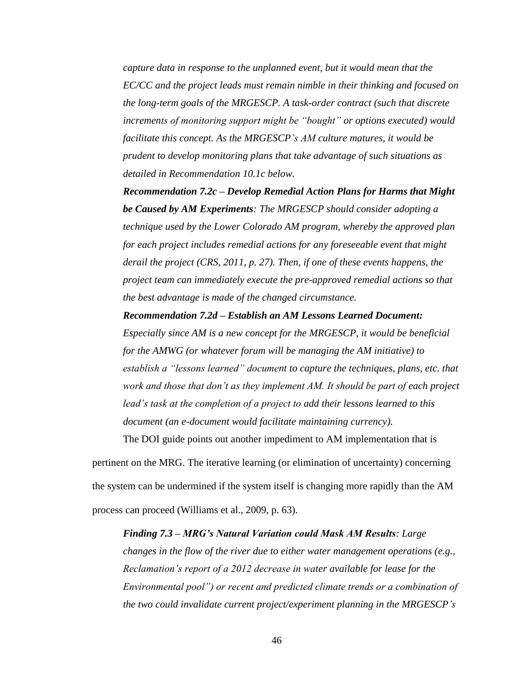*capture data in response to the unplanned event, but it would mean that the EC/CC and the project leads must remain nimble in their thinking and focused on the long-term goals of the MRGESCP. A task-order contract (such that discrete increments of monitoring support might be "bought" or options executed) would facilitate this concept. As the MRGESCP's AM culture matures, it would be prudent to develop monitoring plans that take advantage of such situations as detailed in Recommendation 10.1c below.*

*Recommendation 7.2c – Develop Remedial Action Plans for Harms that Might be Caused by AM Experiments: The MRGESCP should consider adopting a technique used by the Lower Colorado AM program, whereby the approved plan for each project includes remedial actions for any foreseeable event that might derail the project (CRS, 2011, p. 27). Then, if one of these events happens, the project team can immediately execute the pre-approved remedial actions so that the best advantage is made of the changed circumstance.*

*Recommendation 7.2d – Establish an AM Lessons Learned Document:*

*Especially since AM is a new concept for the MRGESCP, it would be beneficial for the AMWG (or whatever forum will be managing the AM initiative) to establish a "lessons learned" document to capture the techniques, plans, etc. that work and those that don't as they implement AM. It should be part of each project lead's task at the completion of a project to add their lessons learned to this document (an e-document would facilitate maintaining currency).*

The DOI guide points out another impediment to AM implementation that is

pertinent on the MRG. The iterative learning (or elimination of uncertainty) concerning the system can be undermined if the system itself is changing more rapidly than the AM process can proceed (Williams et al., 2009, p. 63).

#### *Finding 7.3 – MRG's Natural Variation could Mask AM Results: Large*

*changes in the flow of the river due to either water management operations (e.g., Reclamation's report of a 2012 decrease in water available for lease for the Environmental pool") or recent and predicted climate trends or a combination of the two could invalidate current project/experiment planning in the MRGESCP's*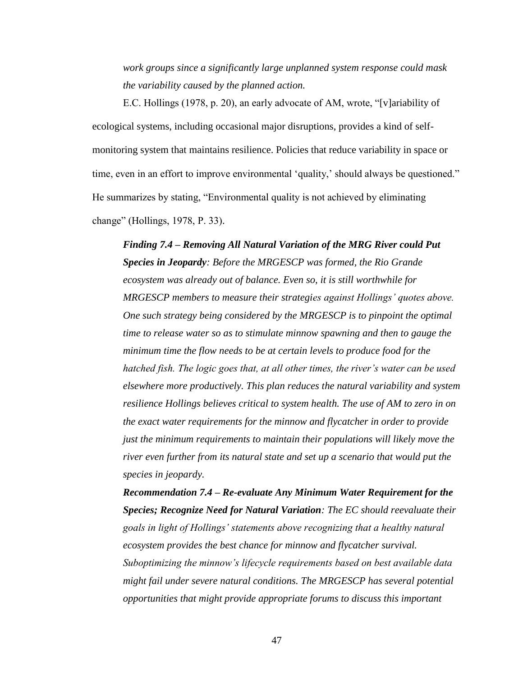*work groups since a significantly large unplanned system response could mask the variability caused by the planned action.*

E.C. Hollings (1978, p. 20), an early advocate of AM, wrote, "[v]ariability of ecological systems, including occasional major disruptions, provides a kind of selfmonitoring system that maintains resilience. Policies that reduce variability in space or time, even in an effort to improve environmental 'quality,' should always be questioned." He summarizes by stating, "Environmental quality is not achieved by eliminating change" (Hollings, 1978, P. 33).

*Finding 7.4 – Removing All Natural Variation of the MRG River could Put Species in Jeopardy: Before the MRGESCP was formed, the Rio Grande ecosystem was already out of balance. Even so, it is still worthwhile for MRGESCP members to measure their strategies against Hollings' quotes above. One such strategy being considered by the MRGESCP is to pinpoint the optimal time to release water so as to stimulate minnow spawning and then to gauge the minimum time the flow needs to be at certain levels to produce food for the hatched fish. The logic goes that, at all other times, the river's water can be used elsewhere more productively. This plan reduces the natural variability and system resilience Hollings believes critical to system health. The use of AM to zero in on the exact water requirements for the minnow and flycatcher in order to provide just the minimum requirements to maintain their populations will likely move the river even further from its natural state and set up a scenario that would put the species in jeopardy.*

*Recommendation 7.4 – Re-evaluate Any Minimum Water Requirement for the Species; Recognize Need for Natural Variation: The EC should reevaluate their goals in light of Hollings' statements above recognizing that a healthy natural ecosystem provides the best chance for minnow and flycatcher survival. Suboptimizing the minnow's lifecycle requirements based on best available data might fail under severe natural conditions. The MRGESCP has several potential opportunities that might provide appropriate forums to discuss this important*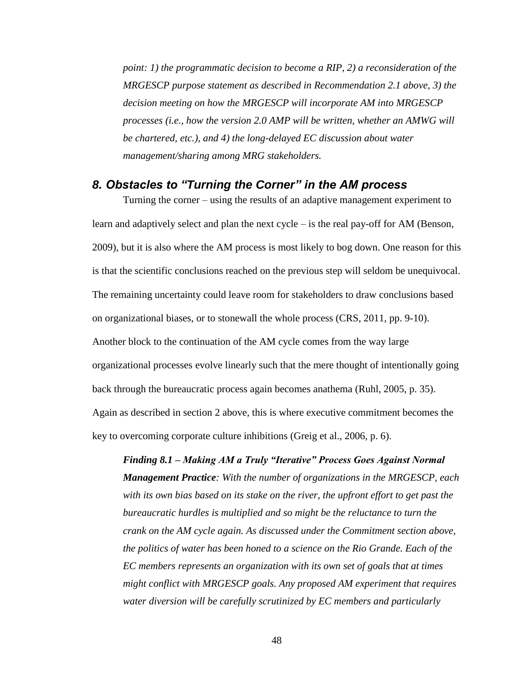*point: 1) the programmatic decision to become a RIP, 2) a reconsideration of the MRGESCP purpose statement as described in Recommendation 2.1 above, 3) the decision meeting on how the MRGESCP will incorporate AM into MRGESCP processes (i.e., how the version 2.0 AMP will be written, whether an AMWG will be chartered, etc.), and 4) the long-delayed EC discussion about water management/sharing among MRG stakeholders.*

## *8. Obstacles to "Turning the Corner" in the AM process*

Turning the corner – using the results of an adaptive management experiment to learn and adaptively select and plan the next cycle – is the real pay-off for AM (Benson, 2009), but it is also where the AM process is most likely to bog down. One reason for this is that the scientific conclusions reached on the previous step will seldom be unequivocal. The remaining uncertainty could leave room for stakeholders to draw conclusions based on organizational biases, or to stonewall the whole process (CRS, 2011, pp. 9-10). Another block to the continuation of the AM cycle comes from the way large organizational processes evolve linearly such that the mere thought of intentionally going back through the bureaucratic process again becomes anathema (Ruhl, 2005, p. 35). Again as described in section 2 above, this is where executive commitment becomes the key to overcoming corporate culture inhibitions (Greig et al., 2006, p. 6).

*Finding 8.1 – Making AM a Truly "Iterative" Process Goes Against Normal Management Practice: With the number of organizations in the MRGESCP, each with its own bias based on its stake on the river, the upfront effort to get past the bureaucratic hurdles is multiplied and so might be the reluctance to turn the crank on the AM cycle again. As discussed under the Commitment section above, the politics of water has been honed to a science on the Rio Grande. Each of the EC members represents an organization with its own set of goals that at times might conflict with MRGESCP goals. Any proposed AM experiment that requires water diversion will be carefully scrutinized by EC members and particularly*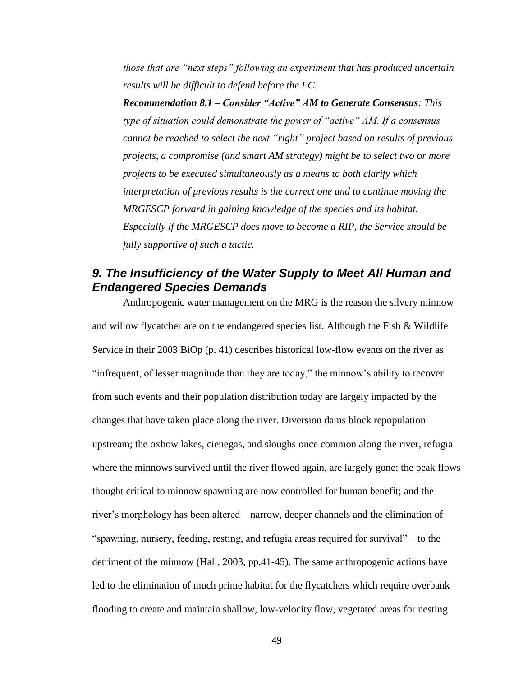*those that are "next steps" following an experiment that has produced uncertain results will be difficult to defend before the EC.*

*Recommendation 8.1 – Consider "Active" AM to Generate Consensus: This type of situation could demonstrate the power of "active" AM. If a consensus cannot be reached to select the next "right" project based on results of previous projects, a compromise (and smart AM strategy) might be to select two or more projects to be executed simultaneously as a means to both clarify which interpretation of previous results is the correct one and to continue moving the MRGESCP forward in gaining knowledge of the species and its habitat. Especially if the MRGESCP does move to become a RIP, the Service should be fully supportive of such a tactic.*

## *9. The Insufficiency of the Water Supply to Meet All Human and Endangered Species Demands*

Anthropogenic water management on the MRG is the reason the silvery minnow and willow flycatcher are on the endangered species list. Although the Fish & Wildlife Service in their 2003 BiOp (p. 41) describes historical low-flow events on the river as "infrequent, of lesser magnitude than they are today," the minnow's ability to recover from such events and their population distribution today are largely impacted by the changes that have taken place along the river. Diversion dams block repopulation upstream; the oxbow lakes, cienegas, and sloughs once common along the river, refugia where the minnows survived until the river flowed again, are largely gone; the peak flows thought critical to minnow spawning are now controlled for human benefit; and the river's morphology has been altered—narrow, deeper channels and the elimination of "spawning, nursery, feeding, resting, and refugia areas required for survival"—to the detriment of the minnow (Hall, 2003, pp.41-45). The same anthropogenic actions have led to the elimination of much prime habitat for the flycatchers which require overbank flooding to create and maintain shallow, low-velocity flow, vegetated areas for nesting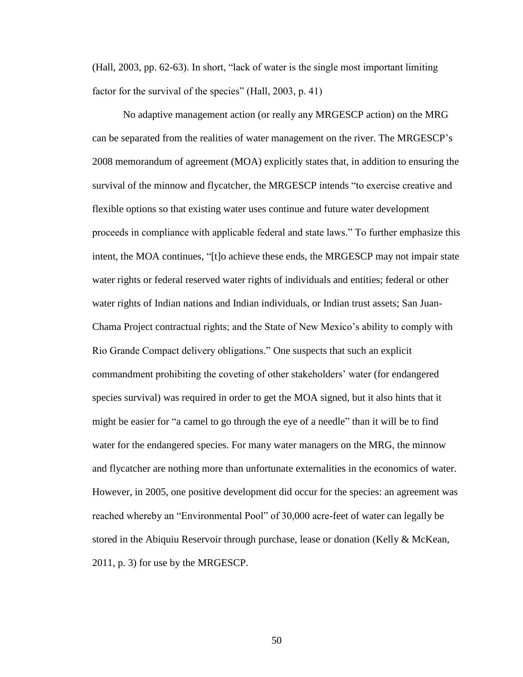(Hall, 2003, pp. 62-63). In short, "lack of water is the single most important limiting factor for the survival of the species" (Hall, 2003, p. 41)

No adaptive management action (or really any MRGESCP action) on the MRG can be separated from the realities of water management on the river. The MRGESCP's 2008 memorandum of agreement (MOA) explicitly states that, in addition to ensuring the survival of the minnow and flycatcher, the MRGESCP intends "to exercise creative and flexible options so that existing water uses continue and future water development proceeds in compliance with applicable federal and state laws." To further emphasize this intent, the MOA continues, "[t]o achieve these ends, the MRGESCP may not impair state water rights or federal reserved water rights of individuals and entities; federal or other water rights of Indian nations and Indian individuals, or Indian trust assets; San Juan-Chama Project contractual rights; and the State of New Mexico's ability to comply with Rio Grande Compact delivery obligations." One suspects that such an explicit commandment prohibiting the coveting of other stakeholders' water (for endangered species survival) was required in order to get the MOA signed, but it also hints that it might be easier for "a camel to go through the eye of a needle" than it will be to find water for the endangered species. For many water managers on the MRG, the minnow and flycatcher are nothing more than unfortunate externalities in the economics of water. However, in 2005, one positive development did occur for the species: an agreement was reached whereby an "Environmental Pool" of 30,000 acre-feet of water can legally be stored in the Abiquiu Reservoir through purchase, lease or donation (Kelly  $\&$  McKean, 2011, p. 3) for use by the MRGESCP.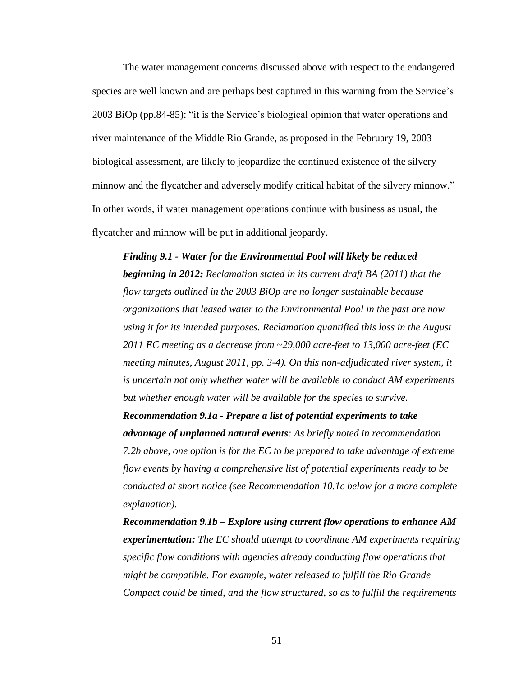The water management concerns discussed above with respect to the endangered species are well known and are perhaps best captured in this warning from the Service's 2003 BiOp (pp.84-85): "it is the Service's biological opinion that water operations and river maintenance of the Middle Rio Grande, as proposed in the February 19, 2003 biological assessment, are likely to jeopardize the continued existence of the silvery minnow and the flycatcher and adversely modify critical habitat of the silvery minnow." In other words, if water management operations continue with business as usual, the flycatcher and minnow will be put in additional jeopardy.

*Finding 9.1 - Water for the Environmental Pool will likely be reduced beginning in 2012: Reclamation stated in its current draft BA (2011) that the flow targets outlined in the 2003 BiOp are no longer sustainable because organizations that leased water to the Environmental Pool in the past are now using it for its intended purposes. Reclamation quantified this loss in the August 2011 EC meeting as a decrease from ~29,000 acre-feet to 13,000 acre-feet (EC meeting minutes, August 2011, pp. 3-4). On this non-adjudicated river system, it is uncertain not only whether water will be available to conduct AM experiments but whether enough water will be available for the species to survive.*

*Recommendation 9.1a - Prepare a list of potential experiments to take advantage of unplanned natural events: As briefly noted in recommendation 7.2b above, one option is for the EC to be prepared to take advantage of extreme flow events by having a comprehensive list of potential experiments ready to be conducted at short notice (see Recommendation 10.1c below for a more complete explanation).*

*Recommendation 9.1b – Explore using current flow operations to enhance AM experimentation: The EC should attempt to coordinate AM experiments requiring specific flow conditions with agencies already conducting flow operations that might be compatible. For example, water released to fulfill the Rio Grande Compact could be timed, and the flow structured, so as to fulfill the requirements*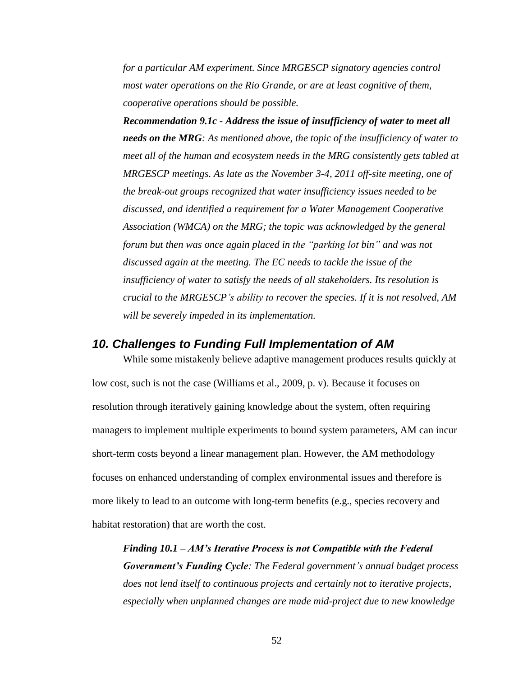*for a particular AM experiment. Since MRGESCP signatory agencies control most water operations on the Rio Grande, or are at least cognitive of them, cooperative operations should be possible.*

*Recommendation 9.1c - Address the issue of insufficiency of water to meet all needs on the MRG: As mentioned above, the topic of the insufficiency of water to meet all of the human and ecosystem needs in the MRG consistently gets tabled at MRGESCP meetings. As late as the November 3-4, 2011 off-site meeting, one of the break-out groups recognized that water insufficiency issues needed to be discussed, and identified a requirement for a Water Management Cooperative Association (WMCA) on the MRG; the topic was acknowledged by the general forum but then was once again placed in the "parking lot bin" and was not discussed again at the meeting. The EC needs to tackle the issue of the insufficiency of water to satisfy the needs of all stakeholders. Its resolution is crucial to the MRGESCP's ability to recover the species. If it is not resolved, AM will be severely impeded in its implementation.*

#### *10. Challenges to Funding Full Implementation of AM*

While some mistakenly believe adaptive management produces results quickly at low cost, such is not the case (Williams et al., 2009, p. v). Because it focuses on resolution through iteratively gaining knowledge about the system, often requiring managers to implement multiple experiments to bound system parameters, AM can incur short-term costs beyond a linear management plan. However, the AM methodology focuses on enhanced understanding of complex environmental issues and therefore is more likely to lead to an outcome with long-term benefits (e.g., species recovery and habitat restoration) that are worth the cost.

*Finding 10.1 – AM's Iterative Process is not Compatible with the Federal Government's Funding Cycle: The Federal government's annual budget process does not lend itself to continuous projects and certainly not to iterative projects, especially when unplanned changes are made mid-project due to new knowledge*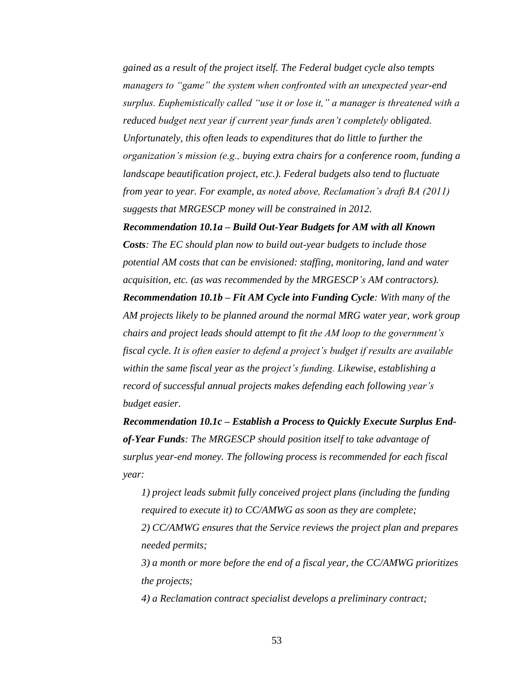*gained as a result of the project itself. The Federal budget cycle also tempts managers to "game" the system when confronted with an unexpected year-end surplus. Euphemistically called "use it or lose it," a manager is threatened with a reduced budget next year if current year funds aren't completely obligated. Unfortunately, this often leads to expenditures that do little to further the organization's mission (e.g., buying extra chairs for a conference room, funding a landscape beautification project, etc.). Federal budgets also tend to fluctuate from year to year. For example, as noted above, Reclamation's draft BA (2011) suggests that MRGESCP money will be constrained in 2012.*

*Recommendation 10.1a – Build Out-Year Budgets for AM with all Known Costs: The EC should plan now to build out-year budgets to include those potential AM costs that can be envisioned: staffing, monitoring, land and water acquisition, etc. (as was recommended by the MRGESCP's AM contractors). Recommendation 10.1b – Fit AM Cycle into Funding Cycle: With many of the AM projects likely to be planned around the normal MRG water year, work group chairs and project leads should attempt to fit the AM loop to the government's fiscal cycle. It is often easier to defend a project's budget if results are available within the same fiscal year as the project's funding. Likewise, establishing a record of successful annual projects makes defending each following year's budget easier.*

*Recommendation 10.1c – Establish a Process to Quickly Execute Surplus Endof-Year Funds: The MRGESCP should position itself to take advantage of surplus year-end money. The following process is recommended for each fiscal year:* 

*1) project leads submit fully conceived project plans (including the funding required to execute it) to CC/AMWG as soon as they are complete; 2) CC/AMWG ensures that the Service reviews the project plan and prepares needed permits;* 

*3) a month or more before the end of a fiscal year, the CC/AMWG prioritizes the projects;* 

*4) a Reclamation contract specialist develops a preliminary contract;*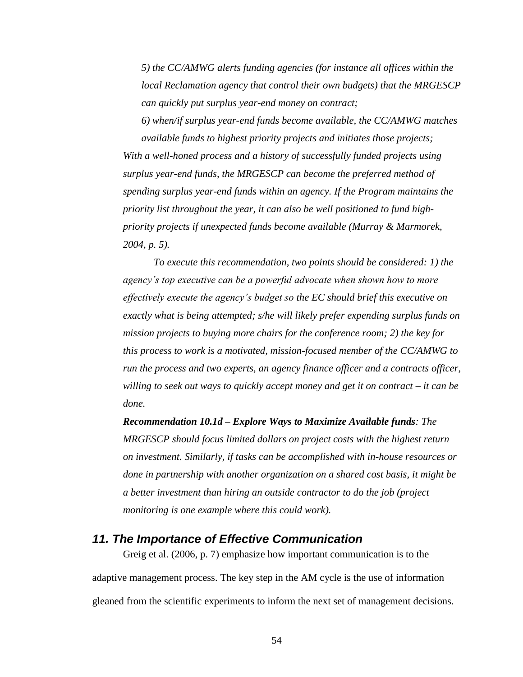*5) the CC/AMWG alerts funding agencies (for instance all offices within the local Reclamation agency that control their own budgets) that the MRGESCP can quickly put surplus year-end money on contract;* 

*6) when/if surplus year-end funds become available, the CC/AMWG matches available funds to highest priority projects and initiates those projects;* 

*With a well-honed process and a history of successfully funded projects using surplus year-end funds, the MRGESCP can become the preferred method of spending surplus year-end funds within an agency. If the Program maintains the priority list throughout the year, it can also be well positioned to fund highpriority projects if unexpected funds become available (Murray & Marmorek, 2004, p. 5).*

*To execute this recommendation, two points should be considered: 1) the agency's top executive can be a powerful advocate when shown how to more effectively execute the agency's budget so the EC should brief this executive on exactly what is being attempted; s/he will likely prefer expending surplus funds on mission projects to buying more chairs for the conference room; 2) the key for this process to work is a motivated, mission-focused member of the CC/AMWG to run the process and two experts, an agency finance officer and a contracts officer, willing to seek out ways to quickly accept money and get it on contract – it can be done.*

*Recommendation 10.1d – Explore Ways to Maximize Available funds: The MRGESCP should focus limited dollars on project costs with the highest return on investment. Similarly, if tasks can be accomplished with in-house resources or done in partnership with another organization on a shared cost basis, it might be a better investment than hiring an outside contractor to do the job (project monitoring is one example where this could work).*

#### *11. The Importance of Effective Communication*

Greig et al. (2006, p. 7) emphasize how important communication is to the adaptive management process. The key step in the AM cycle is the use of information gleaned from the scientific experiments to inform the next set of management decisions.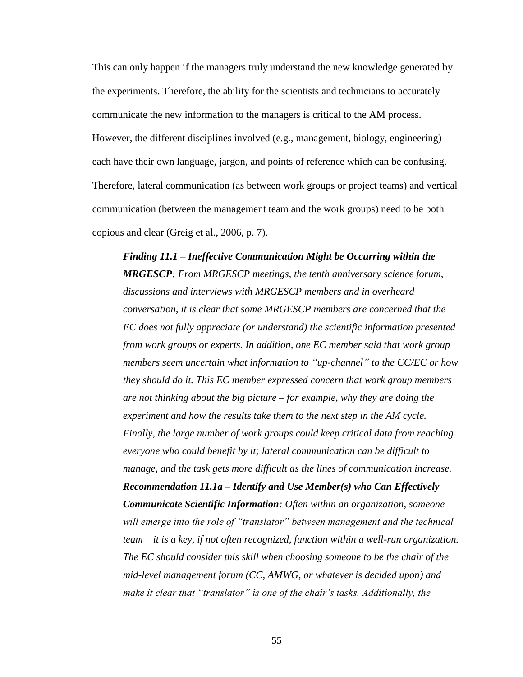This can only happen if the managers truly understand the new knowledge generated by the experiments. Therefore, the ability for the scientists and technicians to accurately communicate the new information to the managers is critical to the AM process. However, the different disciplines involved (e.g., management, biology, engineering) each have their own language, jargon, and points of reference which can be confusing. Therefore, lateral communication (as between work groups or project teams) and vertical communication (between the management team and the work groups) need to be both copious and clear (Greig et al., 2006, p. 7).

*Finding 11.1 – Ineffective Communication Might be Occurring within the MRGESCP: From MRGESCP meetings, the tenth anniversary science forum, discussions and interviews with MRGESCP members and in overheard conversation, it is clear that some MRGESCP members are concerned that the EC does not fully appreciate (or understand) the scientific information presented from work groups or experts. In addition, one EC member said that work group members seem uncertain what information to "up-channel" to the CC/EC or how they should do it. This EC member expressed concern that work group members are not thinking about the big picture – for example, why they are doing the experiment and how the results take them to the next step in the AM cycle. Finally, the large number of work groups could keep critical data from reaching everyone who could benefit by it; lateral communication can be difficult to manage, and the task gets more difficult as the lines of communication increase. Recommendation 11.1a – Identify and Use Member(s) who Can Effectively Communicate Scientific Information: Often within an organization, someone will emerge into the role of "translator" between management and the technical team – it is a key, if not often recognized, function within a well-run organization. The EC should consider this skill when choosing someone to be the chair of the mid-level management forum (CC, AMWG, or whatever is decided upon) and make it clear that "translator" is one of the chair's tasks. Additionally, the*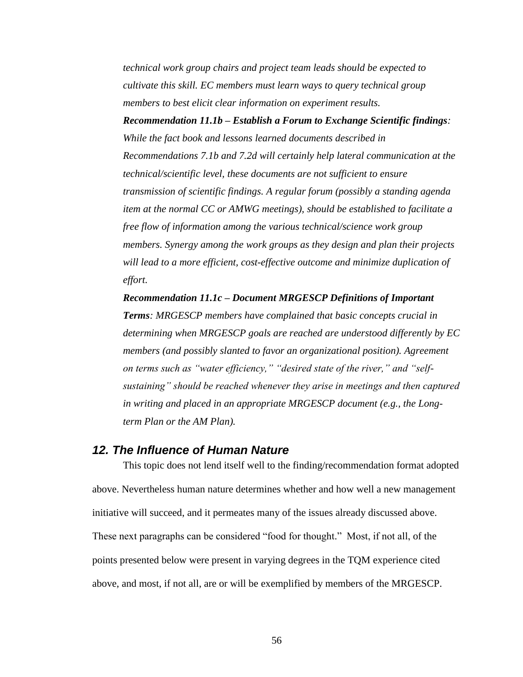*technical work group chairs and project team leads should be expected to cultivate this skill. EC members must learn ways to query technical group members to best elicit clear information on experiment results.*

*Recommendation 11.1b – Establish a Forum to Exchange Scientific findings: While the fact book and lessons learned documents described in Recommendations 7.1b and 7.2d will certainly help lateral communication at the technical/scientific level, these documents are not sufficient to ensure transmission of scientific findings. A regular forum (possibly a standing agenda item at the normal CC or AMWG meetings), should be established to facilitate a free flow of information among the various technical/science work group members. Synergy among the work groups as they design and plan their projects will lead to a more efficient, cost-effective outcome and minimize duplication of effort.*

*Recommendation 11.1c – Document MRGESCP Definitions of Important Terms: MRGESCP members have complained that basic concepts crucial in determining when MRGESCP goals are reached are understood differently by EC members (and possibly slanted to favor an organizational position). Agreement on terms such as "water efficiency," "desired state of the river," and "selfsustaining" should be reached whenever they arise in meetings and then captured in writing and placed in an appropriate MRGESCP document (e.g., the Longterm Plan or the AM Plan).* 

#### *12. The Influence of Human Nature*

This topic does not lend itself well to the finding/recommendation format adopted above. Nevertheless human nature determines whether and how well a new management initiative will succeed, and it permeates many of the issues already discussed above. These next paragraphs can be considered "food for thought." Most, if not all, of the points presented below were present in varying degrees in the TQM experience cited above, and most, if not all, are or will be exemplified by members of the MRGESCP.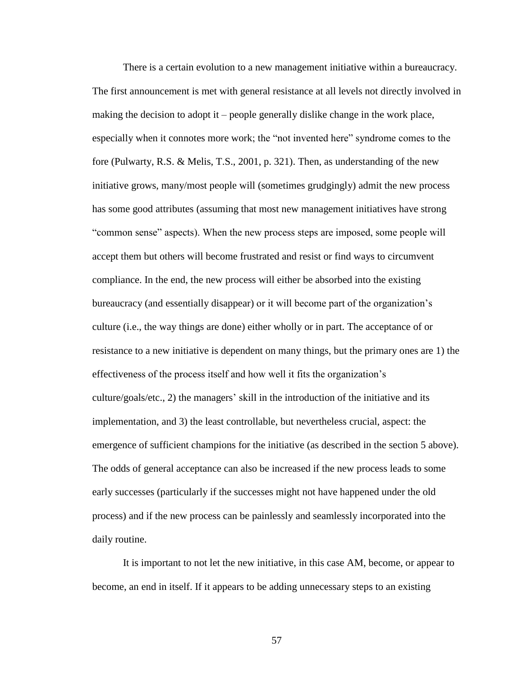There is a certain evolution to a new management initiative within a bureaucracy. The first announcement is met with general resistance at all levels not directly involved in making the decision to adopt it – people generally dislike change in the work place, especially when it connotes more work; the "not invented here" syndrome comes to the fore (Pulwarty, R.S. & Melis, T.S., 2001, p. 321). Then, as understanding of the new initiative grows, many/most people will (sometimes grudgingly) admit the new process has some good attributes (assuming that most new management initiatives have strong "common sense" aspects). When the new process steps are imposed, some people will accept them but others will become frustrated and resist or find ways to circumvent compliance. In the end, the new process will either be absorbed into the existing bureaucracy (and essentially disappear) or it will become part of the organization's culture (i.e., the way things are done) either wholly or in part. The acceptance of or resistance to a new initiative is dependent on many things, but the primary ones are 1) the effectiveness of the process itself and how well it fits the organization's culture/goals/etc., 2) the managers' skill in the introduction of the initiative and its implementation, and 3) the least controllable, but nevertheless crucial, aspect: the emergence of sufficient champions for the initiative (as described in the section 5 above). The odds of general acceptance can also be increased if the new process leads to some early successes (particularly if the successes might not have happened under the old process) and if the new process can be painlessly and seamlessly incorporated into the daily routine.

It is important to not let the new initiative, in this case AM, become, or appear to become, an end in itself. If it appears to be adding unnecessary steps to an existing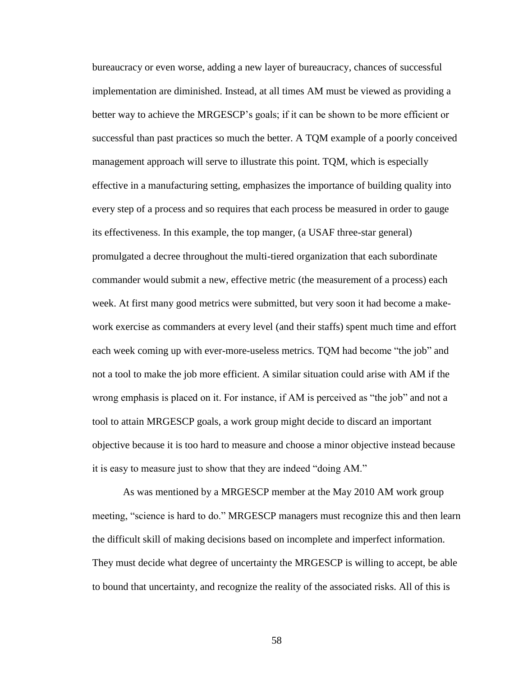bureaucracy or even worse, adding a new layer of bureaucracy, chances of successful implementation are diminished. Instead, at all times AM must be viewed as providing a better way to achieve the MRGESCP's goals; if it can be shown to be more efficient or successful than past practices so much the better. A TQM example of a poorly conceived management approach will serve to illustrate this point. TQM, which is especially effective in a manufacturing setting, emphasizes the importance of building quality into every step of a process and so requires that each process be measured in order to gauge its effectiveness. In this example, the top manger, (a USAF three-star general) promulgated a decree throughout the multi-tiered organization that each subordinate commander would submit a new, effective metric (the measurement of a process) each week. At first many good metrics were submitted, but very soon it had become a makework exercise as commanders at every level (and their staffs) spent much time and effort each week coming up with ever-more-useless metrics. TQM had become "the job" and not a tool to make the job more efficient. A similar situation could arise with AM if the wrong emphasis is placed on it. For instance, if AM is perceived as "the job" and not a tool to attain MRGESCP goals, a work group might decide to discard an important objective because it is too hard to measure and choose a minor objective instead because it is easy to measure just to show that they are indeed "doing AM."

As was mentioned by a MRGESCP member at the May 2010 AM work group meeting, "science is hard to do." MRGESCP managers must recognize this and then learn the difficult skill of making decisions based on incomplete and imperfect information. They must decide what degree of uncertainty the MRGESCP is willing to accept, be able to bound that uncertainty, and recognize the reality of the associated risks. All of this is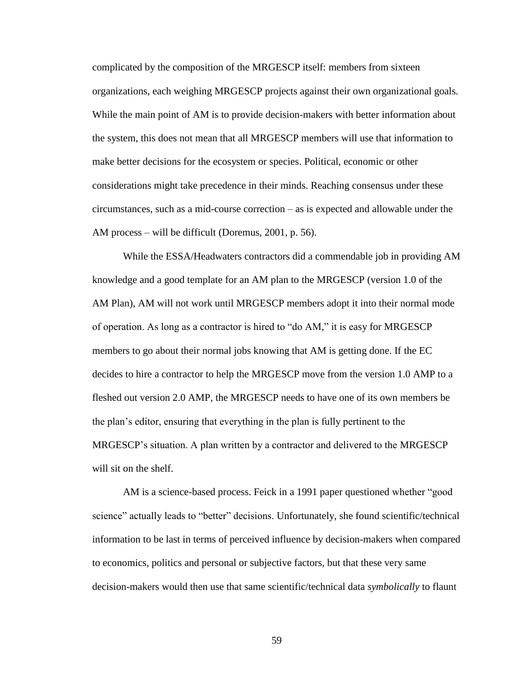complicated by the composition of the MRGESCP itself: members from sixteen organizations, each weighing MRGESCP projects against their own organizational goals. While the main point of AM is to provide decision-makers with better information about the system, this does not mean that all MRGESCP members will use that information to make better decisions for the ecosystem or species. Political, economic or other considerations might take precedence in their minds. Reaching consensus under these circumstances, such as a mid-course correction – as is expected and allowable under the AM process – will be difficult (Doremus, 2001, p. 56).

While the ESSA/Headwaters contractors did a commendable job in providing AM knowledge and a good template for an AM plan to the MRGESCP (version 1.0 of the AM Plan), AM will not work until MRGESCP members adopt it into their normal mode of operation. As long as a contractor is hired to "do AM," it is easy for MRGESCP members to go about their normal jobs knowing that AM is getting done. If the EC decides to hire a contractor to help the MRGESCP move from the version 1.0 AMP to a fleshed out version 2.0 AMP, the MRGESCP needs to have one of its own members be the plan's editor, ensuring that everything in the plan is fully pertinent to the MRGESCP's situation. A plan written by a contractor and delivered to the MRGESCP will sit on the shelf.

AM is a science-based process. Feick in a 1991 paper questioned whether "good science" actually leads to "better" decisions. Unfortunately, she found scientific/technical information to be last in terms of perceived influence by decision-makers when compared to economics, politics and personal or subjective factors, but that these very same decision-makers would then use that same scientific/technical data *symbolically* to flaunt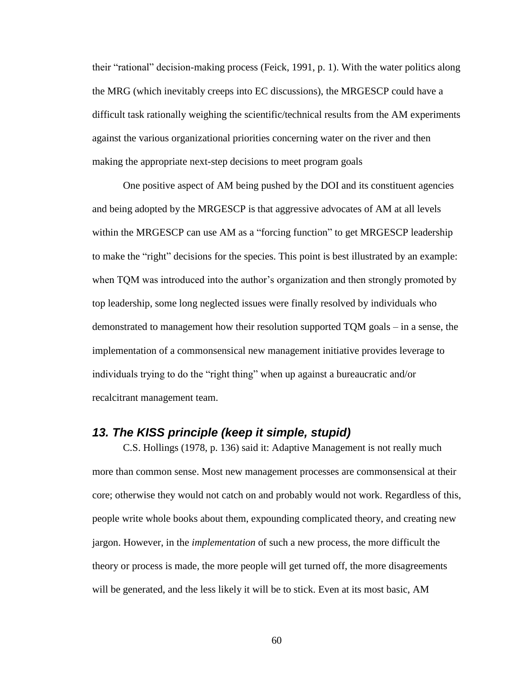their "rational" decision-making process (Feick, 1991, p. 1). With the water politics along the MRG (which inevitably creeps into EC discussions), the MRGESCP could have a difficult task rationally weighing the scientific/technical results from the AM experiments against the various organizational priorities concerning water on the river and then making the appropriate next-step decisions to meet program goals

One positive aspect of AM being pushed by the DOI and its constituent agencies and being adopted by the MRGESCP is that aggressive advocates of AM at all levels within the MRGESCP can use AM as a "forcing function" to get MRGESCP leadership to make the "right" decisions for the species. This point is best illustrated by an example: when TQM was introduced into the author's organization and then strongly promoted by top leadership, some long neglected issues were finally resolved by individuals who demonstrated to management how their resolution supported TQM goals – in a sense, the implementation of a commonsensical new management initiative provides leverage to individuals trying to do the "right thing" when up against a bureaucratic and/or recalcitrant management team.

#### *13. The KISS principle (keep it simple, stupid)*

C.S. Hollings (1978, p. 136) said it: Adaptive Management is not really much more than common sense. Most new management processes are commonsensical at their core; otherwise they would not catch on and probably would not work. Regardless of this, people write whole books about them, expounding complicated theory, and creating new jargon. However, in the *implementation* of such a new process, the more difficult the theory or process is made, the more people will get turned off, the more disagreements will be generated, and the less likely it will be to stick. Even at its most basic, AM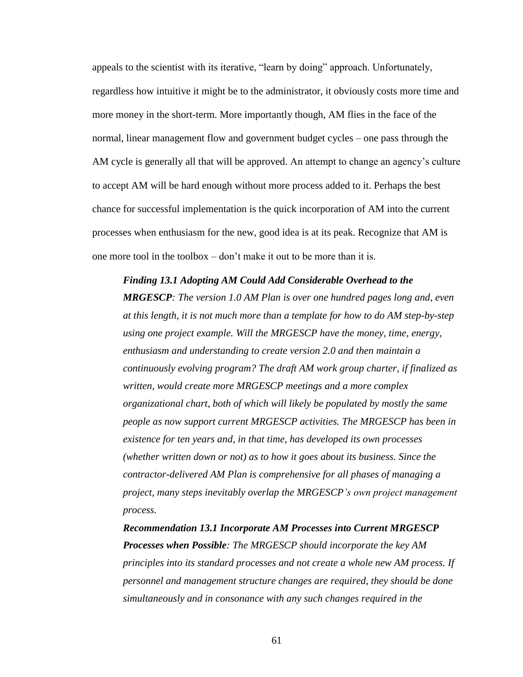appeals to the scientist with its iterative, "learn by doing" approach. Unfortunately, regardless how intuitive it might be to the administrator, it obviously costs more time and more money in the short-term. More importantly though, AM flies in the face of the normal, linear management flow and government budget cycles – one pass through the AM cycle is generally all that will be approved. An attempt to change an agency's culture to accept AM will be hard enough without more process added to it. Perhaps the best chance for successful implementation is the quick incorporation of AM into the current processes when enthusiasm for the new, good idea is at its peak. Recognize that AM is one more tool in the toolbox – don't make it out to be more than it is.

*Finding 13.1 Adopting AM Could Add Considerable Overhead to the MRGESCP: The version 1.0 AM Plan is over one hundred pages long and, even at this length, it is not much more than a template for how to do AM step-by-step using one project example. Will the MRGESCP have the money, time, energy, enthusiasm and understanding to create version 2.0 and then maintain a continuously evolving program? The draft AM work group charter, if finalized as written, would create more MRGESCP meetings and a more complex organizational chart, both of which will likely be populated by mostly the same people as now support current MRGESCP activities. The MRGESCP has been in existence for ten years and, in that time, has developed its own processes (whether written down or not) as to how it goes about its business. Since the contractor-delivered AM Plan is comprehensive for all phases of managing a project, many steps inevitably overlap the MRGESCP's own project management process.*

*Recommendation 13.1 Incorporate AM Processes into Current MRGESCP Processes when Possible: The MRGESCP should incorporate the key AM principles into its standard processes and not create a whole new AM process. If personnel and management structure changes are required, they should be done simultaneously and in consonance with any such changes required in the*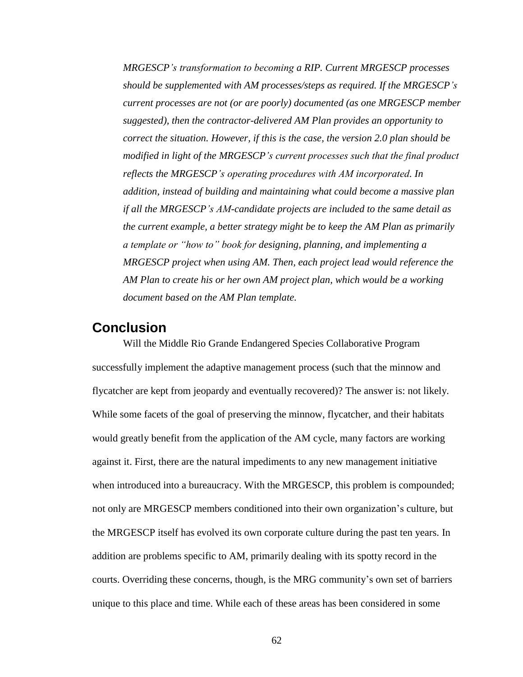*MRGESCP's transformation to becoming a RIP. Current MRGESCP processes should be supplemented with AM processes/steps as required. If the MRGESCP's current processes are not (or are poorly) documented (as one MRGESCP member suggested), then the contractor-delivered AM Plan provides an opportunity to correct the situation. However, if this is the case, the version 2.0 plan should be modified in light of the MRGESCP's current processes such that the final product reflects the MRGESCP's operating procedures with AM incorporated. In addition, instead of building and maintaining what could become a massive plan if all the MRGESCP's AM-candidate projects are included to the same detail as the current example, a better strategy might be to keep the AM Plan as primarily a template or "how to" book for designing, planning, and implementing a MRGESCP project when using AM. Then, each project lead would reference the AM Plan to create his or her own AM project plan, which would be a working document based on the AM Plan template.*

## **Conclusion**

Will the Middle Rio Grande Endangered Species Collaborative Program successfully implement the adaptive management process (such that the minnow and flycatcher are kept from jeopardy and eventually recovered)? The answer is: not likely. While some facets of the goal of preserving the minnow, flycatcher, and their habitats would greatly benefit from the application of the AM cycle, many factors are working against it. First, there are the natural impediments to any new management initiative when introduced into a bureaucracy. With the MRGESCP, this problem is compounded; not only are MRGESCP members conditioned into their own organization's culture, but the MRGESCP itself has evolved its own corporate culture during the past ten years. In addition are problems specific to AM, primarily dealing with its spotty record in the courts. Overriding these concerns, though, is the MRG community's own set of barriers unique to this place and time. While each of these areas has been considered in some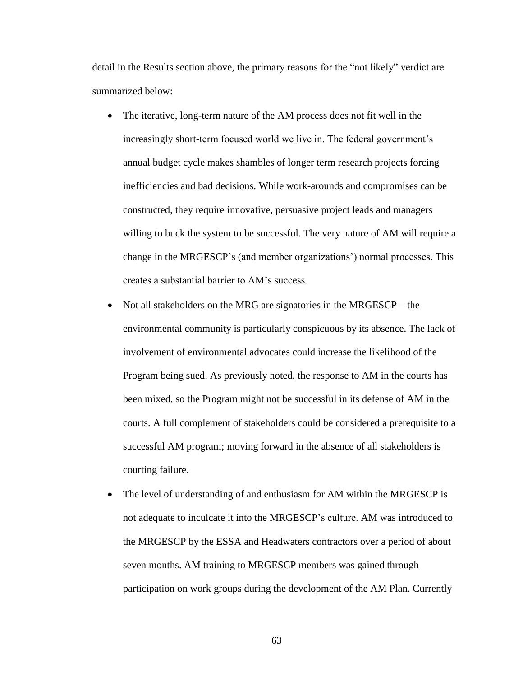detail in the Results section above, the primary reasons for the "not likely" verdict are summarized below:

- The iterative, long-term nature of the AM process does not fit well in the increasingly short-term focused world we live in. The federal government's annual budget cycle makes shambles of longer term research projects forcing inefficiencies and bad decisions. While work-arounds and compromises can be constructed, they require innovative, persuasive project leads and managers willing to buck the system to be successful. The very nature of AM will require a change in the MRGESCP's (and member organizations') normal processes. This creates a substantial barrier to AM's success.
- Not all stakeholders on the MRG are signatories in the MRGESCP the environmental community is particularly conspicuous by its absence. The lack of involvement of environmental advocates could increase the likelihood of the Program being sued. As previously noted, the response to AM in the courts has been mixed, so the Program might not be successful in its defense of AM in the courts. A full complement of stakeholders could be considered a prerequisite to a successful AM program; moving forward in the absence of all stakeholders is courting failure.
- The level of understanding of and enthusiasm for AM within the MRGESCP is not adequate to inculcate it into the MRGESCP's culture. AM was introduced to the MRGESCP by the ESSA and Headwaters contractors over a period of about seven months. AM training to MRGESCP members was gained through participation on work groups during the development of the AM Plan. Currently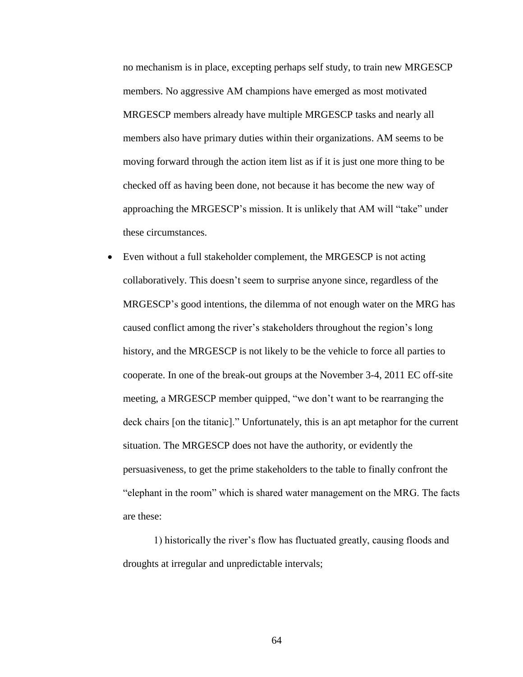no mechanism is in place, excepting perhaps self study, to train new MRGESCP members. No aggressive AM champions have emerged as most motivated MRGESCP members already have multiple MRGESCP tasks and nearly all members also have primary duties within their organizations. AM seems to be moving forward through the action item list as if it is just one more thing to be checked off as having been done, not because it has become the new way of approaching the MRGESCP's mission. It is unlikely that AM will "take" under these circumstances.

• Even without a full stakeholder complement, the MRGESCP is not acting collaboratively. This doesn't seem to surprise anyone since, regardless of the MRGESCP's good intentions, the dilemma of not enough water on the MRG has caused conflict among the river's stakeholders throughout the region's long history, and the MRGESCP is not likely to be the vehicle to force all parties to cooperate. In one of the break-out groups at the November 3-4, 2011 EC off-site meeting, a MRGESCP member quipped, "we don't want to be rearranging the deck chairs [on the titanic]." Unfortunately, this is an apt metaphor for the current situation. The MRGESCP does not have the authority, or evidently the persuasiveness, to get the prime stakeholders to the table to finally confront the "elephant in the room" which is shared water management on the MRG. The facts are these:

1) historically the river's flow has fluctuated greatly, causing floods and droughts at irregular and unpredictable intervals;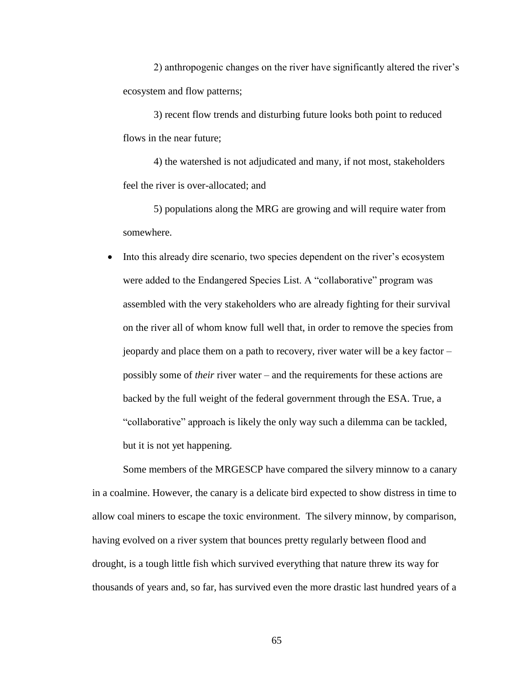2) anthropogenic changes on the river have significantly altered the river's ecosystem and flow patterns;

3) recent flow trends and disturbing future looks both point to reduced flows in the near future;

4) the watershed is not adjudicated and many, if not most, stakeholders feel the river is over-allocated; and

5) populations along the MRG are growing and will require water from somewhere.

• Into this already dire scenario, two species dependent on the river's ecosystem were added to the Endangered Species List. A "collaborative" program was assembled with the very stakeholders who are already fighting for their survival on the river all of whom know full well that, in order to remove the species from jeopardy and place them on a path to recovery, river water will be a key factor – possibly some of *their* river water – and the requirements for these actions are backed by the full weight of the federal government through the ESA. True, a "collaborative" approach is likely the only way such a dilemma can be tackled, but it is not yet happening.

Some members of the MRGESCP have compared the silvery minnow to a canary in a coalmine. However, the canary is a delicate bird expected to show distress in time to allow coal miners to escape the toxic environment. The silvery minnow, by comparison, having evolved on a river system that bounces pretty regularly between flood and drought, is a tough little fish which survived everything that nature threw its way for thousands of years and, so far, has survived even the more drastic last hundred years of a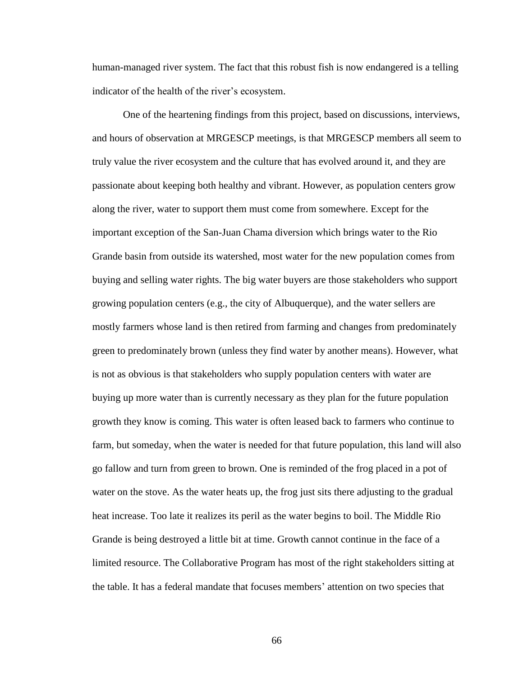human-managed river system. The fact that this robust fish is now endangered is a telling indicator of the health of the river's ecosystem.

One of the heartening findings from this project, based on discussions, interviews, and hours of observation at MRGESCP meetings, is that MRGESCP members all seem to truly value the river ecosystem and the culture that has evolved around it, and they are passionate about keeping both healthy and vibrant. However, as population centers grow along the river, water to support them must come from somewhere. Except for the important exception of the San-Juan Chama diversion which brings water to the Rio Grande basin from outside its watershed, most water for the new population comes from buying and selling water rights. The big water buyers are those stakeholders who support growing population centers (e.g., the city of Albuquerque), and the water sellers are mostly farmers whose land is then retired from farming and changes from predominately green to predominately brown (unless they find water by another means). However, what is not as obvious is that stakeholders who supply population centers with water are buying up more water than is currently necessary as they plan for the future population growth they know is coming. This water is often leased back to farmers who continue to farm, but someday, when the water is needed for that future population, this land will also go fallow and turn from green to brown. One is reminded of the frog placed in a pot of water on the stove. As the water heats up, the frog just sits there adjusting to the gradual heat increase. Too late it realizes its peril as the water begins to boil. The Middle Rio Grande is being destroyed a little bit at time. Growth cannot continue in the face of a limited resource. The Collaborative Program has most of the right stakeholders sitting at the table. It has a federal mandate that focuses members' attention on two species that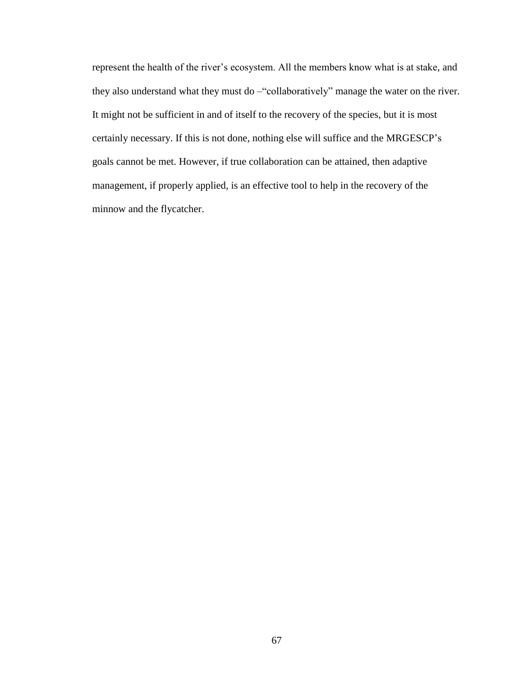represent the health of the river's ecosystem. All the members know what is at stake, and they also understand what they must do –"collaboratively" manage the water on the river. It might not be sufficient in and of itself to the recovery of the species, but it is most certainly necessary. If this is not done, nothing else will suffice and the MRGESCP's goals cannot be met. However, if true collaboration can be attained, then adaptive management, if properly applied, is an effective tool to help in the recovery of the minnow and the flycatcher.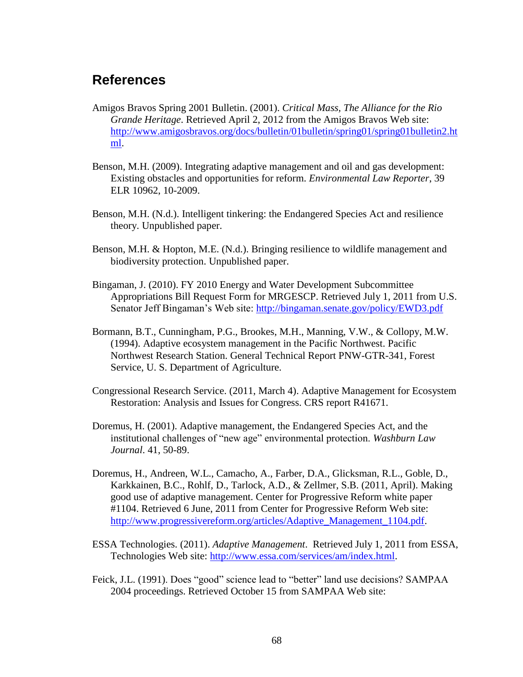# **References**

- Amigos Bravos Spring 2001 Bulletin. (2001). *Critical Mass, The Alliance for the Rio Grande Heritage*. Retrieved April 2, 2012 from the Amigos Bravos Web site: [http://www.amigosbravos.org/docs/bulletin/01bulletin/spring01/spring01bulletin2.ht](http://www.amigosbravos.org/docs/bulletin/01bulletin/spring01/spring01bulletin2.html) [ml.](http://www.amigosbravos.org/docs/bulletin/01bulletin/spring01/spring01bulletin2.html)
- Benson, M.H. (2009). Integrating adaptive management and oil and gas development: Existing obstacles and opportunities for reform. *Environmental Law Reporter*, 39 ELR 10962, 10-2009.
- Benson, M.H. (N.d.). Intelligent tinkering: the Endangered Species Act and resilience theory. Unpublished paper.
- Benson, M.H. & Hopton, M.E. (N.d.). Bringing resilience to wildlife management and biodiversity protection. Unpublished paper.
- Bingaman, J. (2010). FY 2010 Energy and Water Development Subcommittee Appropriations Bill Request Form for MRGESCP. Retrieved July 1, 2011 from U.S. Senator Jeff Bingaman's Web site:<http://bingaman.senate.gov/policy/EWD3.pdf>
- Bormann, B.T., Cunningham, P.G., Brookes, M.H., Manning, V.W., & Collopy, M.W. (1994). Adaptive ecosystem management in the Pacific Northwest. Pacific Northwest Research Station. General Technical Report PNW-GTR-341, Forest Service, U. S. Department of Agriculture.
- Congressional Research Service. (2011, March 4). Adaptive Management for Ecosystem Restoration: Analysis and Issues for Congress. CRS report R41671.
- Doremus, H. (2001). Adaptive management, the Endangered Species Act, and the institutional challenges of "new age" environmental protection. *Washburn Law Journal*. 41, 50-89.
- Doremus, H., Andreen, W.L., Camacho, A., Farber, D.A., Glicksman, R.L., Goble, D., Karkkainen, B.C., Rohlf, D., Tarlock, A.D., & Zellmer, S.B. (2011, April). Making good use of adaptive management. Center for Progressive Reform white paper #1104. Retrieved 6 June, 2011 from Center for Progressive Reform Web site: [http://www.progressivereform.org/articles/Adaptive\\_Management\\_1104.pdf.](http://www.progressivereform.org/articles/Adaptive_Management_1104.pdf)
- ESSA Technologies. (2011). *Adaptive Management*. Retrieved July 1, 2011 from ESSA, Technologies Web site: [http://www.essa.com/services/am/index.html.](http://www.essa.com/services/am/index.html)
- Feick, J.L. (1991). Does "good" science lead to "better" land use decisions? SAMPAA 2004 proceedings. Retrieved October 15 from SAMPAA Web site: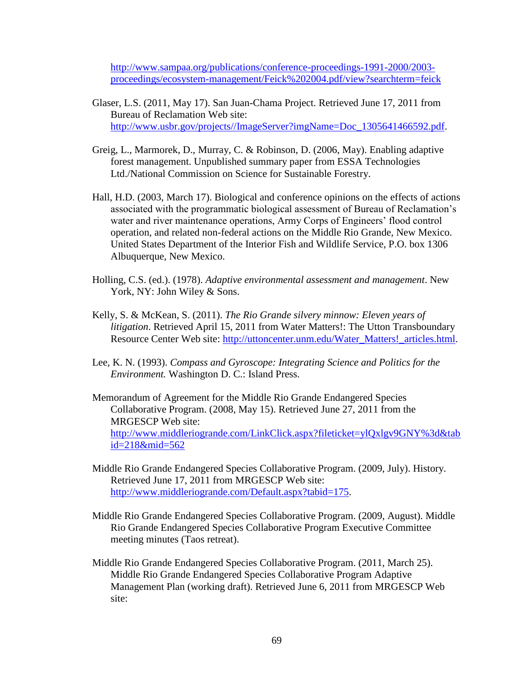[http://www.sampaa.org/publications/conference-proceedings-1991-2000/2003](http://www.sampaa.org/publications/conference-proceedings-1991-2000/2003-proceedings/ecosystem-management/Feick%202004.pdf/view?searchterm=feick) [proceedings/ecosystem-management/Feick%202004.pdf/view?searchterm=feick](http://www.sampaa.org/publications/conference-proceedings-1991-2000/2003-proceedings/ecosystem-management/Feick%202004.pdf/view?searchterm=feick)

- Glaser, L.S. (2011, May 17). San Juan-Chama Project. Retrieved June 17, 2011 from Bureau of Reclamation Web site: [http://www.usbr.gov/projects//ImageServer?imgName=Doc\\_1305641466592.pdf.](http://www.usbr.gov/projects/ImageServer?imgName=Doc_1305641466592.pdf)
- Greig, L., Marmorek, D., Murray, C. & Robinson, D. (2006, May). Enabling adaptive forest management. Unpublished summary paper from ESSA Technologies Ltd./National Commission on Science for Sustainable Forestry.
- Hall, H.D. (2003, March 17). Biological and conference opinions on the effects of actions associated with the programmatic biological assessment of Bureau of Reclamation's water and river maintenance operations, Army Corps of Engineers' flood control operation, and related non-federal actions on the Middle Rio Grande, New Mexico. United States Department of the Interior Fish and Wildlife Service, P.O. box 1306 Albuquerque, New Mexico.
- Holling, C.S. (ed.). (1978). *Adaptive environmental assessment and management*. New York, NY: John Wiley & Sons.
- Kelly, S. & McKean, S. (2011). *The Rio Grande silvery minnow: Eleven years of litigation*. Retrieved April 15, 2011 from Water Matters!: The Utton Transboundary Resource Center Web site: [http://uttoncenter.unm.edu/Water\\_Matters!\\_articles.html.](http://uttoncenter.unm.edu/Water_Matters!_articles.html)
- Lee, K. N. (1993). *Compass and Gyroscope: Integrating Science and Politics for the Environment.* Washington D. C.: Island Press.
- Memorandum of Agreement for the Middle Rio Grande Endangered Species Collaborative Program. (2008, May 15). Retrieved June 27, 2011 from the MRGESCP Web site: [http://www.middleriogrande.com/LinkClick.aspx?fileticket=ylQxlgv9GNY%3d&tab](http://www.middleriogrande.com/LinkClick.aspx?fileticket=ylQxlgv9GNY%3d&tabid=218&mid=562) [id=218&mid=562](http://www.middleriogrande.com/LinkClick.aspx?fileticket=ylQxlgv9GNY%3d&tabid=218&mid=562)
- Middle Rio Grande Endangered Species Collaborative Program. (2009, July). History. Retrieved June 17, 2011 from MRGESCP Web site: [http://www.middleriogrande.com/Default.aspx?tabid=175.](http://www.middleriogrande.com/Default.aspx?tabid=175)
- Middle Rio Grande Endangered Species Collaborative Program. (2009, August). Middle Rio Grande Endangered Species Collaborative Program Executive Committee meeting minutes (Taos retreat).
- Middle Rio Grande Endangered Species Collaborative Program. (2011, March 25). Middle Rio Grande Endangered Species Collaborative Program Adaptive Management Plan (working draft). Retrieved June 6, 2011 from MRGESCP Web site: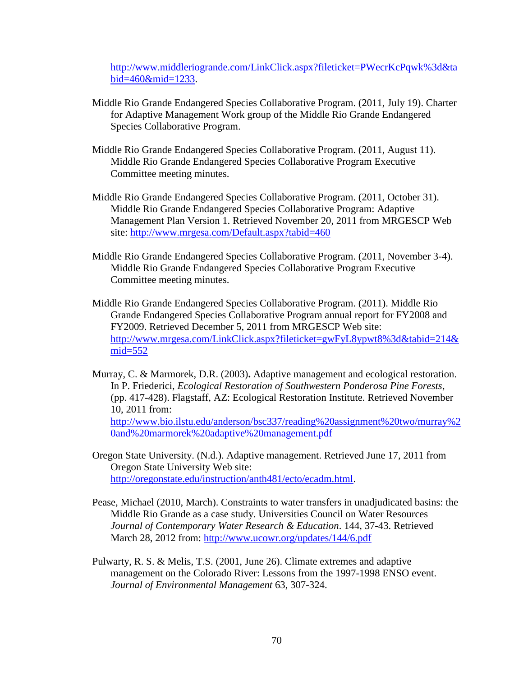[http://www.middleriogrande.com/LinkClick.aspx?fileticket=PWecrKcPqwk%3d&ta](http://www.middleriogrande.com/LinkClick.aspx?fileticket=PWecrKcPqwk%3d&tabid=460&mid=1233) [bid=460&mid=1233.](http://www.middleriogrande.com/LinkClick.aspx?fileticket=PWecrKcPqwk%3d&tabid=460&mid=1233)

- Middle Rio Grande Endangered Species Collaborative Program. (2011, July 19). Charter for Adaptive Management Work group of the Middle Rio Grande Endangered Species Collaborative Program.
- Middle Rio Grande Endangered Species Collaborative Program. (2011, August 11). Middle Rio Grande Endangered Species Collaborative Program Executive Committee meeting minutes.
- Middle Rio Grande Endangered Species Collaborative Program. (2011, October 31). Middle Rio Grande Endangered Species Collaborative Program: Adaptive Management Plan Version 1. Retrieved November 20, 2011 from MRGESCP Web site:<http://www.mrgesa.com/Default.aspx?tabid=460>
- Middle Rio Grande Endangered Species Collaborative Program. (2011, November 3-4). Middle Rio Grande Endangered Species Collaborative Program Executive Committee meeting minutes.
- Middle Rio Grande Endangered Species Collaborative Program. (2011). Middle Rio Grande Endangered Species Collaborative Program annual report for FY2008 and FY2009. Retrieved December 5, 2011 from MRGESCP Web site: [http://www.mrgesa.com/LinkClick.aspx?fileticket=gwFyL8ypwt8%3d&tabid=214&](http://www.mrgesa.com/LinkClick.aspx?fileticket=gwFyL8ypwt8%3d&tabid=214&mid=552) [mid=552](http://www.mrgesa.com/LinkClick.aspx?fileticket=gwFyL8ypwt8%3d&tabid=214&mid=552)
- Murray, C. & Marmorek, D.R. (2003)**.** Adaptive management and ecological restoration. In P. Friederici, *Ecological Restoration of Southwestern Ponderosa Pine Forests*, (pp. 417-428). Flagstaff, AZ: Ecological Restoration Institute. Retrieved November 10, 2011 from: [http://www.bio.ilstu.edu/anderson/bsc337/reading%20assignment%20two/murray%2](http://www.bio.ilstu.edu/anderson/bsc337/reading%20assignment%20two/murray%20and%20marmorek%20adaptive%20management.pdf) [0and%20marmorek%20adaptive%20management.pdf](http://www.bio.ilstu.edu/anderson/bsc337/reading%20assignment%20two/murray%20and%20marmorek%20adaptive%20management.pdf)
- Oregon State University. (N.d.). Adaptive management. Retrieved June 17, 2011 from Oregon State University Web site: [http://oregonstate.edu/instruction/anth481/ecto/ecadm.html.](http://oregonstate.edu/instruction/anth481/ecto/ecadm.html)
- Pease, Michael (2010, March). Constraints to water transfers in unadjudicated basins: the Middle Rio Grande as a case study. Universities Council on Water Resources *Journal of Contemporary Water Research & Education*. 144, 37-43. Retrieved March 28, 2012 from:<http://www.ucowr.org/updates/144/6.pdf>
- Pulwarty, R. S. & Melis, T.S. (2001, June 26). Climate extremes and adaptive management on the Colorado River: Lessons from the 1997-1998 ENSO event. *Journal of Environmental Management* 63, 307-324.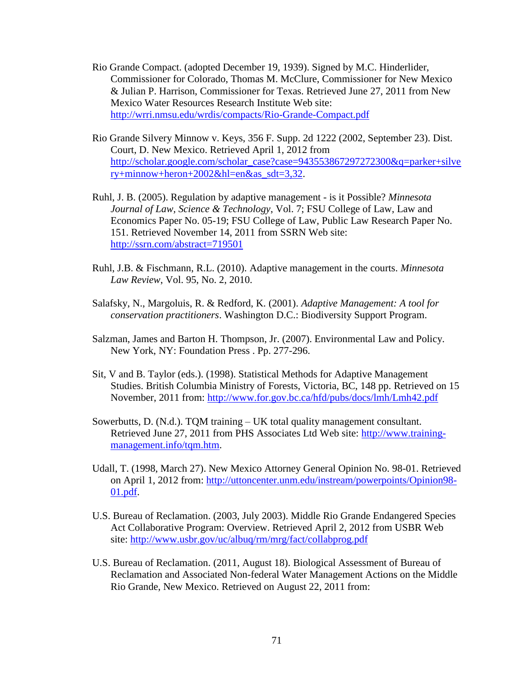- Rio Grande Compact. (adopted December 19, 1939). Signed by M.C. Hinderlider, Commissioner for Colorado, Thomas M. McClure, Commissioner for New Mexico & Julian P. Harrison, Commissioner for Texas. Retrieved June 27, 2011 from New Mexico Water Resources Research Institute Web site: <http://wrri.nmsu.edu/wrdis/compacts/Rio-Grande-Compact.pdf>
- Rio Grande Silvery Minnow v. Keys, 356 F. Supp. 2d 1222 (2002, September 23). Dist. Court, D. New Mexico. Retrieved April 1, 2012 from [http://scholar.google.com/scholar\\_case?case=943553867297272300&q=parker+silve](http://scholar.google.com/scholar_case?case=943553867297272300&q=parker+silvery+minnow+heron+2002&hl=en&as_sdt=3,32) [ry+minnow+heron+2002&hl=en&as\\_sdt=3,32.](http://scholar.google.com/scholar_case?case=943553867297272300&q=parker+silvery+minnow+heron+2002&hl=en&as_sdt=3,32)
- Ruhl, J. B. (2005). Regulation by adaptive management is it Possible? *Minnesota Journal of Law, Science & Technology*, Vol. 7; FSU College of Law, Law and Economics Paper No. 05-19; FSU College of Law, Public Law Research Paper No. 151. Retrieved November 14, 2011 from SSRN Web site: <http://ssrn.com/abstract=719501>
- Ruhl, J.B. & Fischmann, R.L. (2010). Adaptive management in the courts. *Minnesota Law Review*, Vol. 95, No. 2, 2010.
- Salafsky, N., Margoluis, R. & Redford, K. (2001). *Adaptive Management: A tool for conservation practitioners*. Washington D.C.: Biodiversity Support Program.
- Salzman, James and Barton H. Thompson, Jr. (2007). Environmental Law and Policy. New York, NY: Foundation Press . Pp. 277-296.
- Sit, V and B. Taylor (eds.). (1998). Statistical Methods for Adaptive Management Studies. British Columbia Ministry of Forests, Victoria, BC, 148 pp. Retrieved on 15 November, 2011 from:<http://www.for.gov.bc.ca/hfd/pubs/docs/lmh/Lmh42.pdf>
- Sowerbutts, D. (N.d.). TQM training UK total quality management consultant. Retrieved June 27, 2011 from PHS Associates Ltd Web site: [http://www.training](http://www.training-management.info/tqm.htm)[management.info/tqm.htm.](http://www.training-management.info/tqm.htm)
- Udall, T. (1998, March 27). New Mexico Attorney General Opinion No. 98-01. Retrieved on April 1, 2012 from: [http://uttoncenter.unm.edu/instream/powerpoints/Opinion98-](http://uttoncenter.unm.edu/instream/powerpoints/Opinion98-01.pdf) [01.pdf.](http://uttoncenter.unm.edu/instream/powerpoints/Opinion98-01.pdf)
- U.S. Bureau of Reclamation. (2003, July 2003). Middle Rio Grande Endangered Species Act Collaborative Program: Overview. Retrieved April 2, 2012 from USBR Web site:<http://www.usbr.gov/uc/albuq/rm/mrg/fact/collabprog.pdf>
- U.S. Bureau of Reclamation. (2011, August 18). Biological Assessment of Bureau of Reclamation and Associated Non-federal Water Management Actions on the Middle Rio Grande, New Mexico. Retrieved on August 22, 2011 from: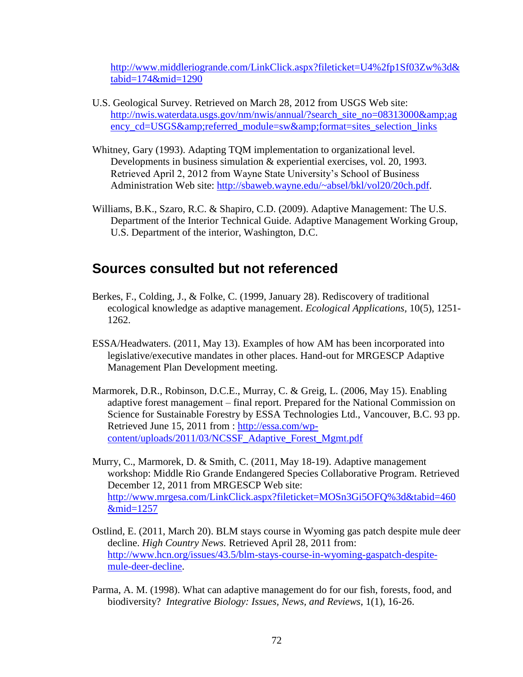[http://www.middleriogrande.com/LinkClick.aspx?fileticket=U4%2fp1Sf03Zw%3d&](http://www.middleriogrande.com/LinkClick.aspx?fileticket=U4%2fp1Sf03Zw%3d&tabid=174&mid=1290) [tabid=174&mid=1290](http://www.middleriogrande.com/LinkClick.aspx?fileticket=U4%2fp1Sf03Zw%3d&tabid=174&mid=1290)

- U.S. Geological Survey. Retrieved on March 28, 2012 from USGS Web site: [http://nwis.waterdata.usgs.gov/nm/nwis/annual/?search\\_site\\_no=08313000&ag](http://nwis.waterdata.usgs.gov/nm/nwis/annual/?search_site_no=08313000&agency_cd=USGS&referred_module=sw&format=sites_selection_links) [ency\\_cd=USGS&referred\\_module=sw&format=sites\\_selection\\_links](http://nwis.waterdata.usgs.gov/nm/nwis/annual/?search_site_no=08313000&agency_cd=USGS&referred_module=sw&format=sites_selection_links)
- Whitney, Gary (1993). Adapting TQM implementation to organizational level. Developments in business simulation & experiential exercises, vol. 20, 1993. Retrieved April 2, 2012 from Wayne State University's School of Business Administration Web site: [http://sbaweb.wayne.edu/~absel/bkl/vol20/20ch.pdf.](http://sbaweb.wayne.edu/~absel/bkl/vol20/20ch.pdf)
- Williams, B.K., Szaro, R.C. & Shapiro, C.D. (2009). Adaptive Management: The U.S. Department of the Interior Technical Guide. Adaptive Management Working Group, U.S. Department of the interior, Washington, D.C.

## **Sources consulted but not referenced**

- Berkes, F., Colding, J., & Folke, C. (1999, January 28). Rediscovery of traditional ecological knowledge as adaptive management. *Ecological Applications,* 10(5), 1251- 1262.
- ESSA/Headwaters. (2011, May 13). Examples of how AM has been incorporated into legislative/executive mandates in other places. Hand-out for MRGESCP Adaptive Management Plan Development meeting.
- Marmorek, D.R., Robinson, D.C.E., Murray, C. & Greig, L. (2006, May 15). Enabling adaptive forest management – final report. Prepared for the National Commission on Science for Sustainable Forestry by ESSA Technologies Ltd., Vancouver, B.C. 93 pp. Retrieved June 15, 2011 from : [http://essa.com/wp](http://essa.com/wp-content/uploads/2011/03/NCSSF_Adaptive_Forest_Mgmt.pdf)[content/uploads/2011/03/NCSSF\\_Adaptive\\_Forest\\_Mgmt.pdf](http://essa.com/wp-content/uploads/2011/03/NCSSF_Adaptive_Forest_Mgmt.pdf)
- Murry, C., Marmorek, D. & Smith, C. (2011, May 18-19). Adaptive management workshop: Middle Rio Grande Endangered Species Collaborative Program. Retrieved December 12, 2011 from MRGESCP Web site: [http://www.mrgesa.com/LinkClick.aspx?fileticket=MOSn3Gi5OFQ%3d&tabid=460](http://www.mrgesa.com/LinkClick.aspx?fileticket=MOSn3Gi5OFQ%3d&tabid=460&mid=1257) [&mid=1257](http://www.mrgesa.com/LinkClick.aspx?fileticket=MOSn3Gi5OFQ%3d&tabid=460&mid=1257)
- Ostlind, E. (2011, March 20). BLM stays course in Wyoming gas patch despite mule deer decline. *High Country News.* Retrieved April 28, 2011 from: [http://www.hcn.org/issues/43.5/blm-stays-course-in-wyoming-gaspatch-despite](http://www.hcn.org/issues/43.5/blm-stays-course-in-wyoming-gaspatch-despite-mule-deer-decline)[mule-deer-decline.](http://www.hcn.org/issues/43.5/blm-stays-course-in-wyoming-gaspatch-despite-mule-deer-decline)
- Parma, A. M. (1998). What can adaptive management do for our fish, forests, food, and biodiversity? *Integrative Biology: Issues, News, and Reviews*, 1(1), 16-26.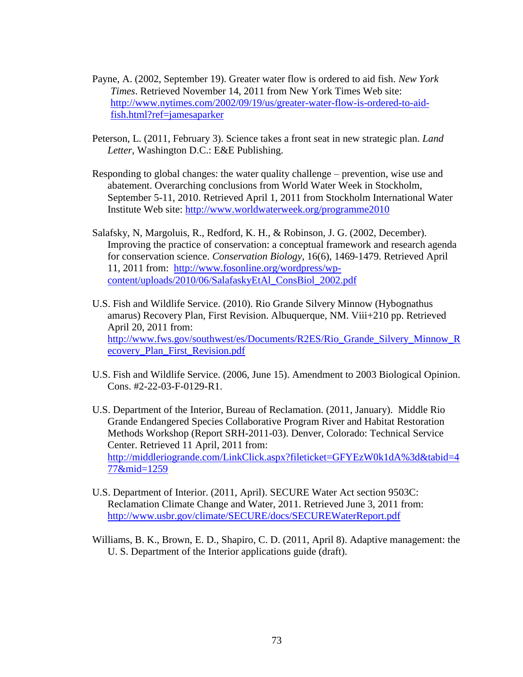- Payne, A. (2002, September 19). Greater water flow is ordered to aid fish. *New York Times*. Retrieved November 14, 2011 from New York Times Web site: [http://www.nytimes.com/2002/09/19/us/greater-water-flow-is-ordered-to-aid](http://www.nytimes.com/2002/09/19/us/greater-water-flow-is-ordered-to-aid-fish.html?ref=jamesaparker)[fish.html?ref=jamesaparker](http://www.nytimes.com/2002/09/19/us/greater-water-flow-is-ordered-to-aid-fish.html?ref=jamesaparker)
- Peterson, L. (2011, February 3). Science takes a front seat in new strategic plan. *Land Letter*, Washington D.C.: E&E Publishing.
- Responding to global changes: the water quality challenge prevention, wise use and abatement. Overarching conclusions from World Water Week in Stockholm, September 5-11, 2010. Retrieved April 1, 2011 from Stockholm International Water Institute Web site:<http://www.worldwaterweek.org/programme2010>
- Salafsky, N, Margoluis, R., Redford, K. H., & Robinson, J. G. (2002, December). Improving the practice of conservation: a conceptual framework and research agenda for conservation science. *Conservation Biology*, 16(6), 1469-1479. Retrieved April 11, 2011 from: [http://www.fosonline.org/wordpress/wp](http://www.fosonline.org/wordpress/wp-content/uploads/2010/06/SalafaskyEtAl_ConsBiol_2002.pdf)[content/uploads/2010/06/SalafaskyEtAl\\_ConsBiol\\_2002.pdf](http://www.fosonline.org/wordpress/wp-content/uploads/2010/06/SalafaskyEtAl_ConsBiol_2002.pdf)
- U.S. Fish and Wildlife Service. (2010). Rio Grande Silvery Minnow (Hybognathus amarus) Recovery Plan, First Revision. Albuquerque, NM. Viii+210 pp. Retrieved April 20, 2011 from: [http://www.fws.gov/southwest/es/Documents/R2ES/Rio\\_Grande\\_Silvery\\_Minnow\\_R](http://www.fws.gov/southwest/es/Documents/R2ES/Rio_Grande_Silvery_Minnow_Recovery_Plan_First_Revision.pdf) [ecovery\\_Plan\\_First\\_Revision.pdf](http://www.fws.gov/southwest/es/Documents/R2ES/Rio_Grande_Silvery_Minnow_Recovery_Plan_First_Revision.pdf)
- U.S. Fish and Wildlife Service. (2006, June 15). Amendment to 2003 Biological Opinion. Cons. #2-22-03-F-0129-R1.
- U.S. Department of the Interior, Bureau of Reclamation. (2011, January). Middle Rio Grande Endangered Species Collaborative Program River and Habitat Restoration Methods Workshop (Report SRH-2011-03). Denver, Colorado: Technical Service Center. Retrieved 11 April, 2011 from: [http://middleriogrande.com/LinkClick.aspx?fileticket=GFYEzW0k1dA%3d&tabid=4](http://middleriogrande.com/LinkClick.aspx?fileticket=GFYEzW0k1dA%3d&tabid=477&mid=1259) [77&mid=1259](http://middleriogrande.com/LinkClick.aspx?fileticket=GFYEzW0k1dA%3d&tabid=477&mid=1259)
- U.S. Department of Interior. (2011, April). SECURE Water Act section 9503C: Reclamation Climate Change and Water, 2011. Retrieved June 3, 2011 from: <http://www.usbr.gov/climate/SECURE/docs/SECUREWaterReport.pdf>
- Williams, B. K., Brown, E. D., Shapiro, C. D. (2011, April 8). Adaptive management: the U. S. Department of the Interior applications guide (draft).